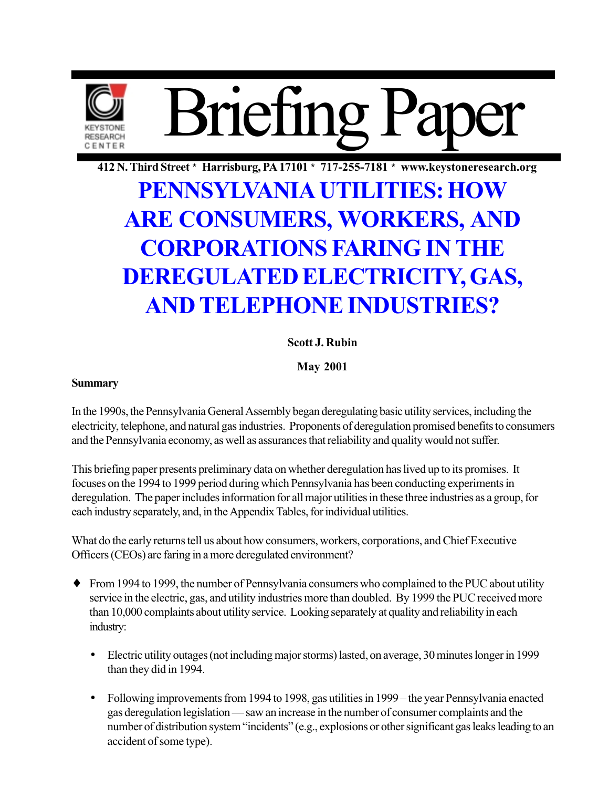

412 N. Third Street \* Harrisburg, PA 17101 \* 717-255-7181 \* www.keystoneresearch.org

# PENNSYLVANIA UTILITIES: HOW **ARE CONSUMERS, WORKERS, AND CORPORATIONS FARING IN THE DEREGULATED ELECTRICITY, GAS, AND TELEPHONE INDUSTRIES?**

### **Scott J. Rubin**

**May 2001** 

### **Summary**

In the 1990s, the Pennsylvania General Assembly began deregulating basic utility services, including the electricity, telephone, and natural gas industries. Proponents of deregulation promised benefits to consumers and the Pennsylvania economy, as well as assurances that reliability and quality would not suffer.

This briefing paper presents preliminary data on whether deregulation has lived up to its promises. It focuses on the 1994 to 1999 period during which Pennsylvania has been conducting experiments in deregulation. The paper includes information for all major utilities in these three industries as a group, for each industry separately, and, in the Appendix Tables, for individual utilities.

What do the early returns tell us about how consumers, workers, corporations, and Chief Executive Officers (CEOs) are faring in a more deregulated environment?

- $\bullet$  From 1994 to 1999, the number of Pennsylvania consumers who complained to the PUC about utility service in the electric, gas, and utility industries more than doubled. By 1999 the PUC received more than 10,000 complaints about utility service. Looking separately at quality and reliability in each industry:
	- Electric utility outages (not including major storms) lasted, on average, 30 minutes longer in 1999 than they did in 1994.
	- Following improvements from 1994 to 1998, gas utilities in 1999 the year Pennsylvania enacted gas deregulation legislation — saw an increase in the number of consumer complaints and the number of distribution system "incidents" (e.g., explosions or other significant gas leaks leading to an accident of some type).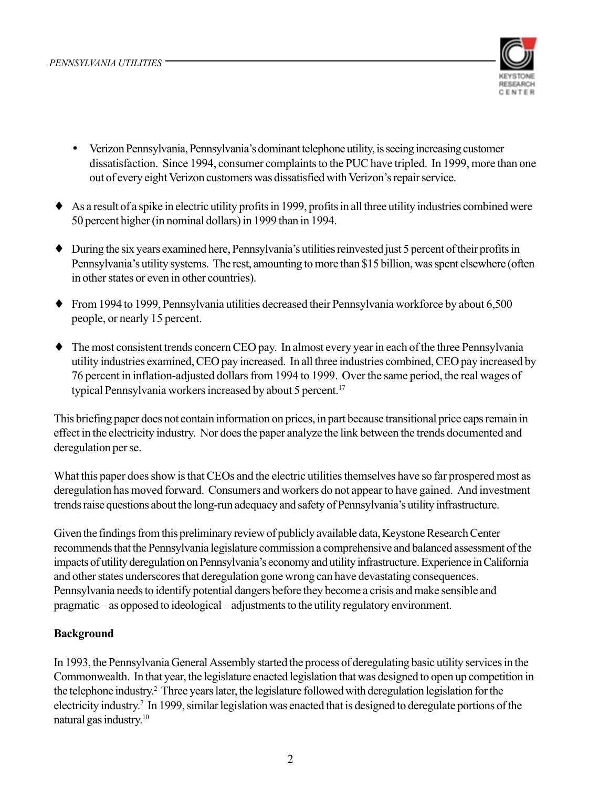

- Verizon Pennsylvania, Pennsylvania's dominant telephone utility, is seeing increasing customer dissatisfaction. Since 1994, consumer complaints to the PUC have tripled. In 1999, more than one out of every eight Verizon customers was dissatisfied with Verizon's repair service.
- $\bullet$  As a result of a spike in electric utility profits in 1999, profits in all three utility industries combined were 50 percent higher (in nominal dollars) in 1999 than in 1994.
- $\bullet$  During the six years examined here, Pennsylvania's utilities reinvested just 5 percent of their profits in Pennsylvania's utility systems. The rest, amounting to more than \$15 billion, was spent elsewhere (often in other states or even in other countries).
- $\bullet$  From 1994 to 1999, Pennsylvania utilities decreased their Pennsylvania workforce by about 6,500 people, or nearly 15 percent.
- $\bullet$  The most consistent trends concern CEO pay. In almost every year in each of the three Pennsylvania utility industries examined, CEO pay increased. In all three industries combined, CEO pay increased by 76 percent in inflation-adjusted dollars from 1994 to 1999. Over the same period, the real wages of typical Pennsylvania workers increased by about 5 percent.<sup>17</sup>

This briefing paper does not contain information on prices, in part because transitional price caps remain in effect in the electricity industry. Nor does the paper analyze the link between the trends documented and deregulation per se.

What this paper does show is that CEOs and the electric utilities themselves have so far prospered most as deregulation has moved forward. Consumers and workers do not appear to have gained. And investment trends raise questions about the long-run adequacy and safety of Pennsylvania's utility infrastructure.

Given the findings from this preliminary review of publicly available data, Keystone Research Center recommends that the Pennsylvania legislature commission a comprehensive and balanced assessment of the impacts of utility deregulation on Pennsylvania's economy and utility infrastructure. Experience in California and other states underscores that deregulation gone wrong can have devastating consequences. Pennsylvania needs to identify potential dangers before they become a crisis and make sensible and pragmatic – as opposed to ideological – adjustments to the utility regulatory environment.

### **Background**

In 1993, the Pennsylvania General Assembly started the process of deregulating basic utility services in the Commonwealth. In that year, the legislature enacted legislation that was designed to open up competition in the telephone industry.<sup>2</sup> Three years later, the legislature followed with deregulation legislation for the electricity industry.<sup>7</sup> In 1999, similar legislation was enacted that is designed to deregulate portions of the natural gas industry.<sup>10</sup>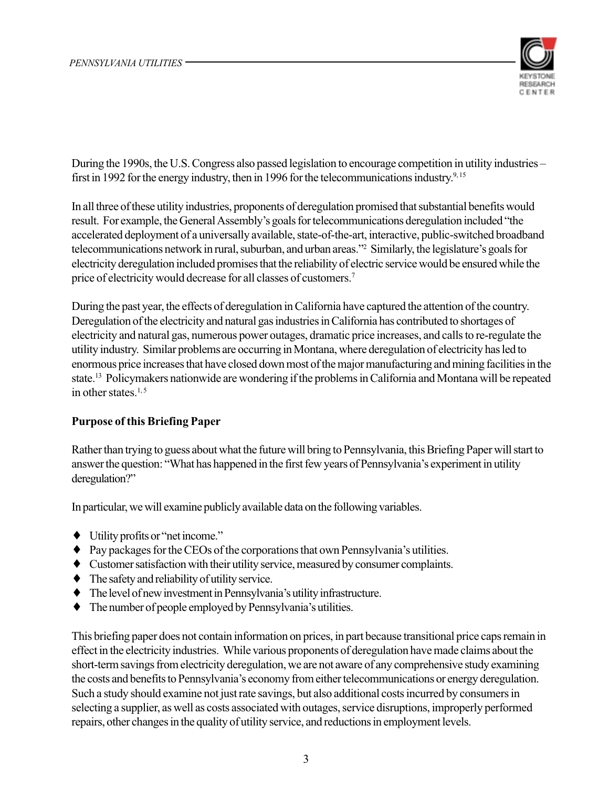

During the 1990s, the U.S. Congress also passed legislation to encourage competition in utility industries – first in 1992 for the energy industry, then in 1996 for the telecommunications industry.<sup>9,15</sup>

In all three of these utility industries, proponents of deregulation promised that substantial benefits would result. For example, the General Assembly's goals for telecommunications deregulation included "the accelerated deployment of a universally available, state-of-the-art, interactive, public-switched broadband telecommunications network in rural, suburban, and urban areas."<sup>2</sup> Similarly, the legislature's goals for electricity deregulation included promises that the reliability of electric service would be ensured while the price of electricity would decrease for all classes of customers.<sup>7</sup>

During the past year, the effects of deregulation in California have captured the attention of the country. Deregulation of the electricity and natural gas industries in California has contributed to shortages of electricity and natural gas, numerous power outages, dramatic price increases, and calls to re-regulate the utility industry. Similar problems are occurring in Montana, where deregulation of electricity has led to enormous price increases that have closed down most of the major manufacturing and mining facilities in the state.<sup>13</sup> Policymakers nationwide are wondering if the problems in California and Montana will be repeated in other states.<sup>1,5</sup>

### **Purpose of this Briefing Paper**

Rather than trying to guess about what the future will bring to Pennsylvania, this Briefing Paper will start to answer the question: "What has happened in the first few years of Pennsylvania's experiment in utility deregulation?"

In particular, we will examine publicly available data on the following variables.

- $\bullet$  Utility profits or "net income."
- $\bullet$  Pay packages for the CEOs of the corporations that own Pennsylvania's utilities.
- Customer satisfaction with their utility service, measured by consumer complaints.
- $\bullet$  The safety and reliability of utility service.
- $\bullet$  The level of new investment in Pennsylvania's utility infrastructure.
- The number of people employed by Pennsylvania's utilities.  $\bullet$

This briefing paper does not contain information on prices, in part because transitional price caps remain in effect in the electricity industries. While various proponents of deregulation have made claims about the short-term savings from electricity deregulation, we are not aware of any comprehensive study examining the costs and benefits to Pennsylvania's economy from either telecommunications or energy deregulation. Such a study should examine not just rate savings, but also additional costs incurred by consumers in selecting a supplier, as well as costs associated with outages, service disruptions, improperly performed repairs, other changes in the quality of utility service, and reductions in employment levels.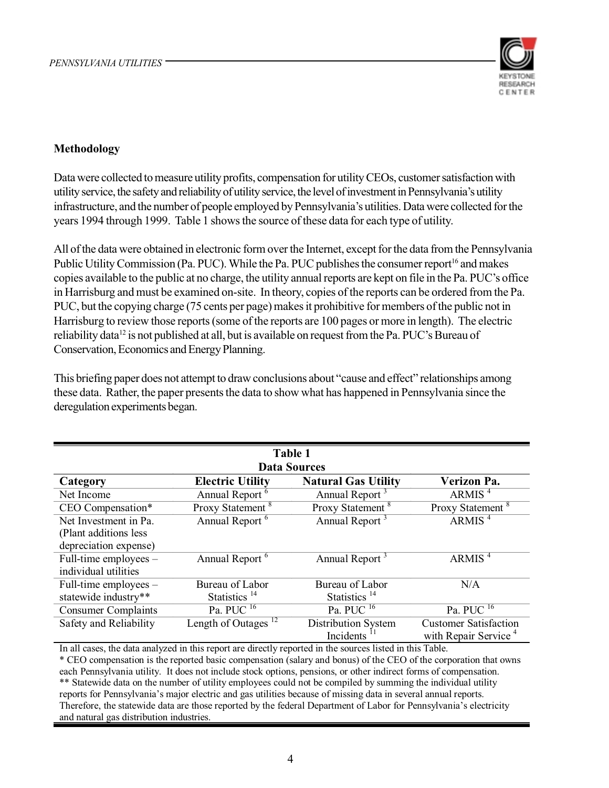

### Methodology

Data were collected to measure utility profits, compensation for utility CEOs, customer satisfaction with utility service, the safety and reliability of utility service, the level of investment in Pennsylvania's utility infrastructure, and the number of people employed by Pennsylvania's utilities. Data were collected for the years 1994 through 1999. Table 1 shows the source of these data for each type of utility.

All of the data were obtained in electronic form over the Internet, except for the data from the Pennsylvania Public Utility Commission (Pa. PUC). While the Pa. PUC publishes the consumer report<sup>16</sup> and makes copies available to the public at no charge, the utility annual reports are kept on file in the Pa. PUC's office in Harrisburg and must be examined on-site. In theory, copies of the reports can be ordered from the Pa. PUC, but the copying charge (75 cents per page) makes it prohibitive for members of the public not in Harrisburg to review those reports (some of the reports are 100 pages or more in length). The electric reliability data<sup>12</sup> is not published at all, but is available on request from the Pa. PUC's Bureau of Conservation, Economics and Energy Planning.

This briefing paper does not attempt to draw conclusions about "cause and effect" relationships among these data. Rather, the paper presents the data to show what has happened in Pennsylvania since the deregulation experiments began.

| Table 1<br><b>Data Sources</b>                                                   |                                 |                              |                                    |  |  |  |  |  |  |
|----------------------------------------------------------------------------------|---------------------------------|------------------------------|------------------------------------|--|--|--|--|--|--|
| Verizon Pa.<br><b>Natural Gas Utility</b><br><b>Electric Utility</b><br>Category |                                 |                              |                                    |  |  |  |  |  |  |
| Net Income                                                                       | Annual Report <sup>6</sup>      | Annual Report <sup>3</sup>   | ARMIS $4$                          |  |  |  |  |  |  |
| CEO Compensation*                                                                | Proxy Statement <sup>8</sup>    | Proxy Statement <sup>8</sup> | Proxy Statement <sup>8</sup>       |  |  |  |  |  |  |
| Net Investment in Pa.                                                            | Annual Report <sup>6</sup>      | Annual Report <sup>3</sup>   | ARMIS <sup>4</sup>                 |  |  |  |  |  |  |
| (Plant additions less)                                                           |                                 |                              |                                    |  |  |  |  |  |  |
| depreciation expense)                                                            |                                 |                              |                                    |  |  |  |  |  |  |
| Full-time employees $-$                                                          | Annual Report <sup>6</sup>      | Annual Report <sup>3</sup>   | ARMIS <sup>4</sup>                 |  |  |  |  |  |  |
| individual utilities                                                             |                                 |                              |                                    |  |  |  |  |  |  |
| Full-time employees $-$                                                          | Bureau of Labor                 | Bureau of Labor              | N/A                                |  |  |  |  |  |  |
| statewide industry**                                                             | Statistics <sup>14</sup>        | Statistics <sup>14</sup>     |                                    |  |  |  |  |  |  |
| <b>Consumer Complaints</b>                                                       | Pa. PUC $^{16}$                 | $Pa. PUC$ <sup>16</sup>      | Pa. $P\overline{UC}$ <sup>16</sup> |  |  |  |  |  |  |
| Safety and Reliability                                                           | Length of Outages <sup>12</sup> | Distribution System          | <b>Customer Satisfaction</b>       |  |  |  |  |  |  |
|                                                                                  |                                 | Incidents                    | with Repair Service <sup>4</sup>   |  |  |  |  |  |  |

In all cases, the data analyzed in this report are directly reported in the sources listed in this Table. \* CEO compensation is the reported basic compensation (salary and bonus) of the CEO of the corporation that owns each Pennsylvania utility. It does not include stock options, pensions, or other indirect forms of compensation. \*\* Statewide data on the number of utility employees could not be compiled by summing the individual utility reports for Pennsylvania's major electric and gas utilities because of missing data in several annual reports. Therefore, the statewide data are those reported by the federal Department of Labor for Pennsylvania's electricity and natural gas distribution industries.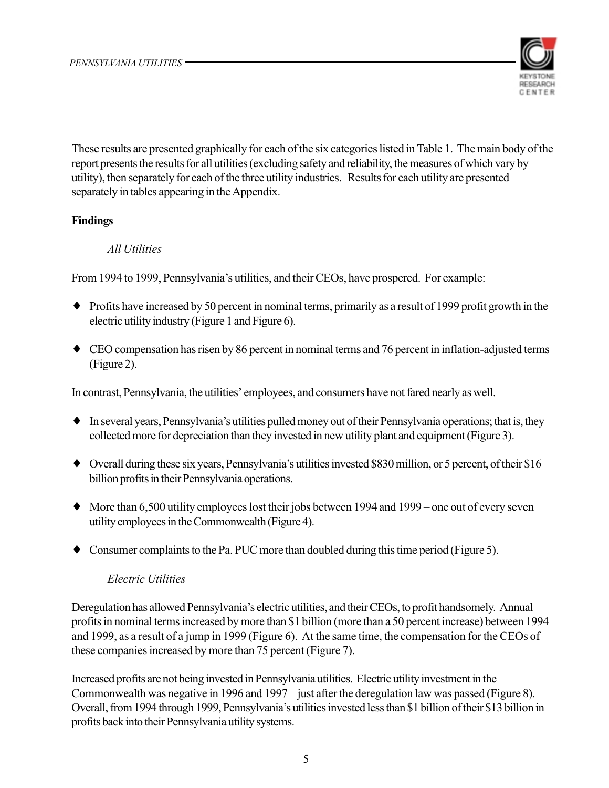

These results are presented graphically for each of the six categories listed in Table 1. The main body of the report presents the results for all utilities (excluding safety and reliability, the measures of which vary by utility), then separately for each of the three utility industries. Results for each utility are presented separately in tables appearing in the Appendix.

### **Findings**

### All Utilities

From 1994 to 1999, Pennsylvania's utilities, and their CEOs, have prospered. For example:

- $\bullet$  Profits have increased by 50 percent in nominal terms, primarily as a result of 1999 profit growth in the electric utility industry (Figure 1 and Figure 6).
- CEO compensation has risen by 86 percent in nominal terms and 76 percent in inflation-adjusted terms (Figure 2).

In contrast, Pennsylvania, the utilities' employees, and consumers have not fared nearly as well.

- In several years, Pennsylvania's utilities pulled money out of their Pennsylvania operations; that is, they collected more for depreciation than they invested in new utility plant and equipment (Figure 3).
- Overall during these six years, Pennsylvania's utilities invested \$830 million, or 5 percent, of their \$16 billion profits in their Pennsylvania operations.
- More than 6,500 utility employees lost their jobs between 1994 and 1999 one out of every seven utility employees in the Commonwealth (Figure 4).
- $\bullet$  Consumer complaints to the Pa. PUC more than doubled during this time period (Figure 5).

### **Electric Utilities**

Deregulation has allowed Pennsylvania's electric utilities, and their CEOs, to profit handsomely. Annual profits in nominal terms increased by more than \$1 billion (more than a 50 percent increase) between 1994 and 1999, as a result of a jump in 1999 (Figure 6). At the same time, the compensation for the CEOs of these companies increased by more than 75 percent (Figure 7).

Increased profits are not being invested in Pennsylvania utilities. Electric utility investment in the Commonwealth was negative in 1996 and 1997 – just after the deregulation law was passed (Figure 8). Overall, from 1994 through 1999, Pennsylvania's utilities invested less than \$1 billion of their \$13 billion in profits back into their Pennsylvania utility systems.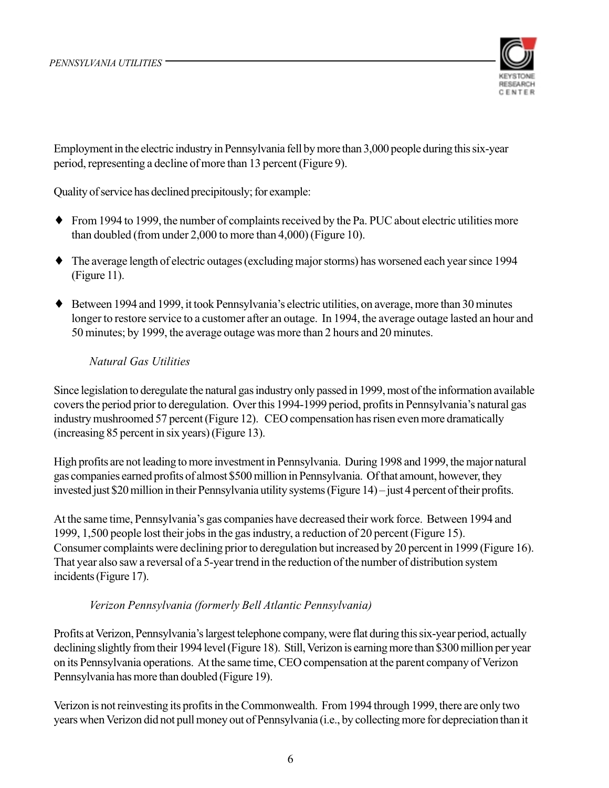

Employment in the electric industry in Pennsylvania fell by more than 3,000 people during this six-year period, representing a decline of more than 13 percent (Figure 9).

Quality of service has declined precipitously; for example:

- $\bullet$  From 1994 to 1999, the number of complaints received by the Pa. PUC about electric utilities more than doubled (from under 2,000 to more than 4,000) (Figure 10).
- $\bullet$  The average length of electric outages (excluding major storms) has worsened each year since 1994  $(Figure 11)$ .
- Between 1994 and 1999, it took Pennsylvania's electric utilities, on average, more than 30 minutes longer to restore service to a customer after an outage. In 1994, the average outage lasted an hour and 50 minutes; by 1999, the average outage was more than 2 hours and 20 minutes.

### **Natural Gas Utilities**

Since legislation to deregulate the natural gas industry only passed in 1999, most of the information available covers the period prior to deregulation. Over this 1994-1999 period, profits in Pennsylvania's natural gas industry mushroomed 57 percent (Figure 12). CEO compensation has risen even more dramatically (increasing 85 percent in six years) (Figure 13).

High profits are not leading to more investment in Pennsylvania. During 1998 and 1999, the major natural gas companies earned profits of almost \$500 million in Pennsylvania. Of that amount, however, they invested just \$20 million in their Pennsylvania utility systems (Figure 14) – just 4 percent of their profits.

At the same time, Pennsylvania's gas companies have decreased their work force. Between 1994 and 1999, 1,500 people lost their jobs in the gas industry, a reduction of 20 percent (Figure 15). Consumer complaints were declining prior to deregulation but increased by 20 percent in 1999 (Figure 16). That year also saw a reversal of a 5-year trend in the reduction of the number of distribution system incidents (Figure 17).

### Verizon Pennsylvania (formerly Bell Atlantic Pennsylvania)

Profits at Verizon, Pennsylvania's largest telephone company, were flat during this six-year period, actually declining slightly from their 1994 level (Figure 18). Still, Verizon is earning more than \$300 million per year on its Pennsylvania operations. At the same time, CEO compensation at the parent company of Verizon Pennsylvania has more than doubled (Figure 19).

Verizon is not reinvesting its profits in the Commonwealth. From 1994 through 1999, there are only two years when Verizon did not pull money out of Pennsylvania (i.e., by collecting more for depreciation than it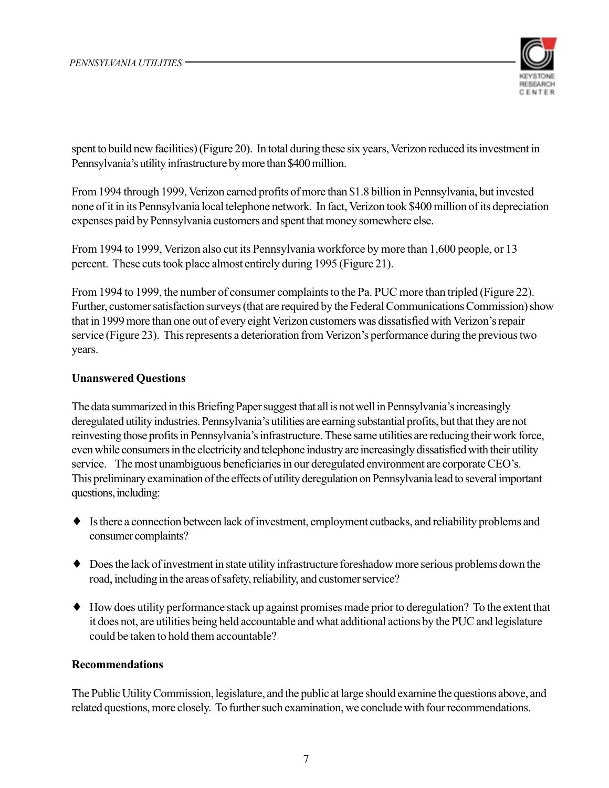

spent to build new facilities) (Figure 20). In total during these six years, Verizon reduced its investment in Pennsylvania's utility infrastructure by more than \$400 million.

From 1994 through 1999, Verizon earned profits of more than \$1.8 billion in Pennsylvania, but invested none of it in its Pennsylvania local telephone network. In fact, Verizon took \$400 million of its depreciation expenses paid by Pennsylvania customers and spent that money somewhere else.

From 1994 to 1999, Verizon also cut its Pennsylvania workforce by more than 1,600 people, or 13 percent. These cuts took place almost entirely during 1995 (Figure 21).

From 1994 to 1999, the number of consumer complaints to the Pa. PUC more than tripled (Figure 22). Further, customer satisfaction surveys (that are required by the Federal Communications Commission) show that in 1999 more than one out of every eight Verizon customers was dissatisfied with Verizon's repair service (Figure 23). This represents a deterioration from Verizon's performance during the previous two years.

### **Unanswered Questions**

The data summarized in this Briefing Paper suggest that all is not well in Pennsylvania's increasingly deregulated utility industries. Pennsylvania's utilities are earning substantial profits, but that they are not reinvesting those profits in Pennsylvania's infrastructure. These same utilities are reducing their work force, even while consumers in the electricity and telephone industry are increasingly dissatisfied with their utility service. The most unambiguous beneficiaries in our deregulated environment are corporate CEO's. This preliminary examination of the effects of utility deregulation on Pennsylvania lead to several important questions, including:

- $\bullet$  Is there a connection between lack of investment, employment cutbacks, and reliability problems and consumer complaints?
- Does the lack of investment in state utility infrastructure foreshadow more serious problems down the road, including in the areas of safety, reliability, and customer service?
- $\bullet$  How does utility performance stack up against promises made prior to deregulation? To the extent that it does not, are utilities being held accountable and what additional actions by the PUC and legislature could be taken to hold them accountable?

### **Recommendations**

The Public Utility Commission, legislature, and the public at large should examine the questions above, and related questions, more closely. To further such examination, we conclude with four recommendations.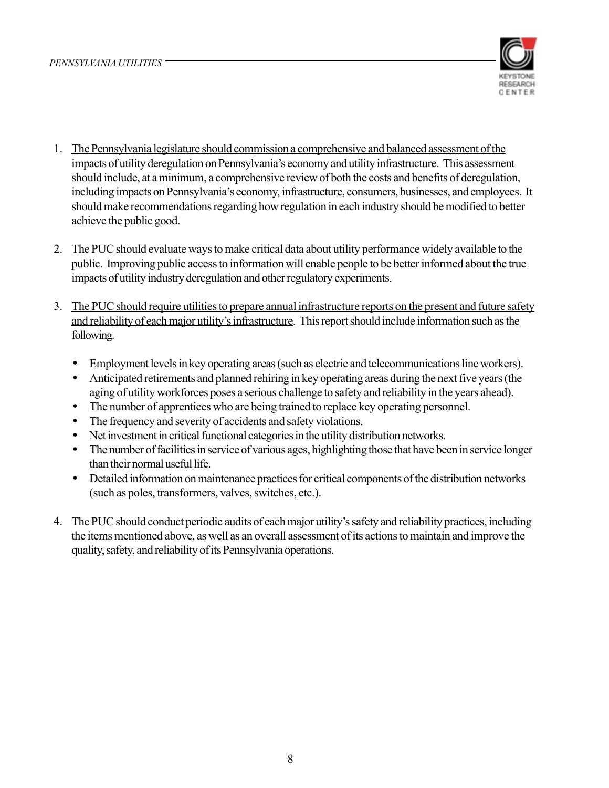

- 1. The Pennsylvania legislature should commission a comprehensive and balanced assessment of the impacts of utility deregulation on Pennsylvania's economy and utility infrastructure. This assessment should include, at a minimum, a comprehensive review of both the costs and benefits of deregulation, including impacts on Pennsylvania's economy, infrastructure, consumers, businesses, and employees. It should make recommendations regarding how regulation in each industry should be modified to better achieve the public good.
- 2. The PUC should evaluate ways to make critical data about utility performance widely available to the public. Improving public access to information will enable people to be better informed about the true impacts of utility industry deregulation and other regulatory experiments.
- 3. The PUC should require utilities to prepare annual infrastructure reports on the present and future safety and reliability of each major utility's infrastructure. This report should include information such as the following.
	- Employment levels in key operating areas (such as electric and telecommunications line workers).  $\bullet$
	- Anticipated retirements and planned rehiring in key operating areas during the next five years (the aging of utility workforces poses a serious challenge to safety and reliability in the years ahead).
	- The number of apprentices who are being trained to replace key operating personnel.  $\bullet$
	- The frequency and severity of accidents and safety violations.  $\bullet$
	- Net investment in critical functional categories in the utility distribution networks.  $\bullet$
	- The number of facilities in service of various ages, highlighting those that have been in service longer  $\bullet$ than their normal useful life.
	- Detailed information on maintenance practices for critical components of the distribution networks (such as poles, transformers, valves, switches, etc.).
- 4. The PUC should conduct periodic audits of each major utility's safety and reliability practices, including the items mentioned above, as well as an overall assessment of its actions to maintain and improve the quality, safety, and reliability of its Pennsylvania operations.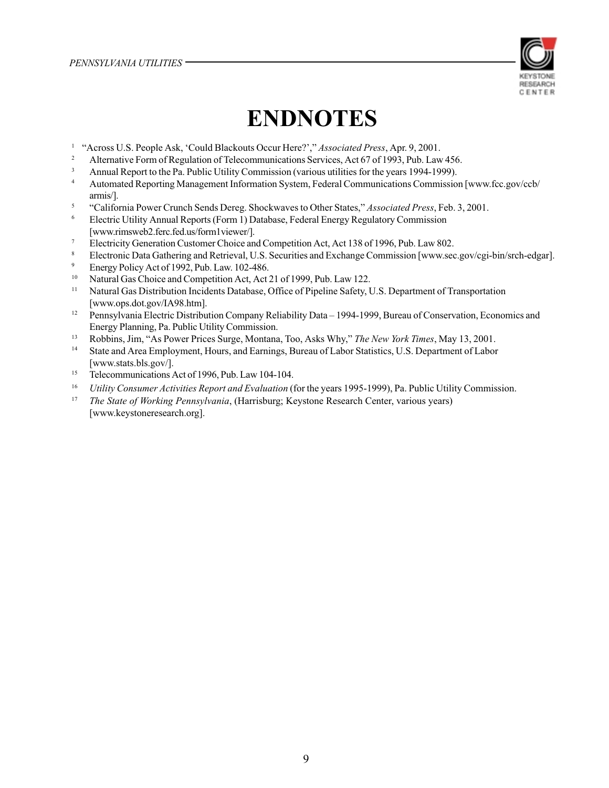

## **ENDNOTES**

- $\,1$ "Across U.S. People Ask, 'Could Blackouts Occur Here?'," Associated Press, Apr. 9, 2001.
- $\,2\,$ Alternative Form of Regulation of Telecommunications Services, Act 67 of 1993, Pub. Law 456.
- $\overline{\mathbf{3}}$ Annual Report to the Pa. Public Utility Commission (various utilities for the years 1994-1999).
- $\overline{4}$ Automated Reporting Management Information System, Federal Communications Commission [www.fcc.gov/ccb/ armis/].
- 5 "California Power Crunch Sends Dereg. Shockwaves to Other States," Associated Press, Feb. 3, 2001.
- $\sqrt{6}$ Electric Utility Annual Reports (Form 1) Database, Federal Energy Regulatory Commission [www.rimsweb2.ferc.fed.us/form1viewer/].
- Electricity Generation Customer Choice and Competition Act, Act 138 of 1996, Pub. Law 802.
- 8 Electronic Data Gathering and Retrieval, U.S. Securities and Exchange Commission [www.sec.gov/cgi-bin/srch-edgar].
- $\boldsymbol{9}$ Energy Policy Act of 1992, Pub. Law. 102-486.
- 10 Natural Gas Choice and Competition Act, Act 21 of 1999, Pub. Law 122.
- $11\,$ Natural Gas Distribution Incidents Database, Office of Pipeline Safety, U.S. Department of Transportation [www.ops.dot.gov/IA98.htm].
- $12$ Pennsylvania Electric Distribution Company Reliability Data - 1994-1999, Bureau of Conservation, Economics and Energy Planning, Pa. Public Utility Commission.
- $13$ Robbins, Jim, "As Power Prices Surge, Montana, Too, Asks Why," The New York Times, May 13, 2001.
- $14\,$ State and Area Employment, Hours, and Earnings, Bureau of Labor Statistics, U.S. Department of Labor [www.stats.bls.gov/].
- $15\,$ Telecommunications Act of 1996, Pub. Law 104-104.
- $16\,$ Utility Consumer Activities Report and Evaluation (for the years 1995-1999), Pa. Public Utility Commission.
- $17\,$ The State of Working Pennsylvania, (Harrisburg; Keystone Research Center, various years) [www.keystoneresearch.org].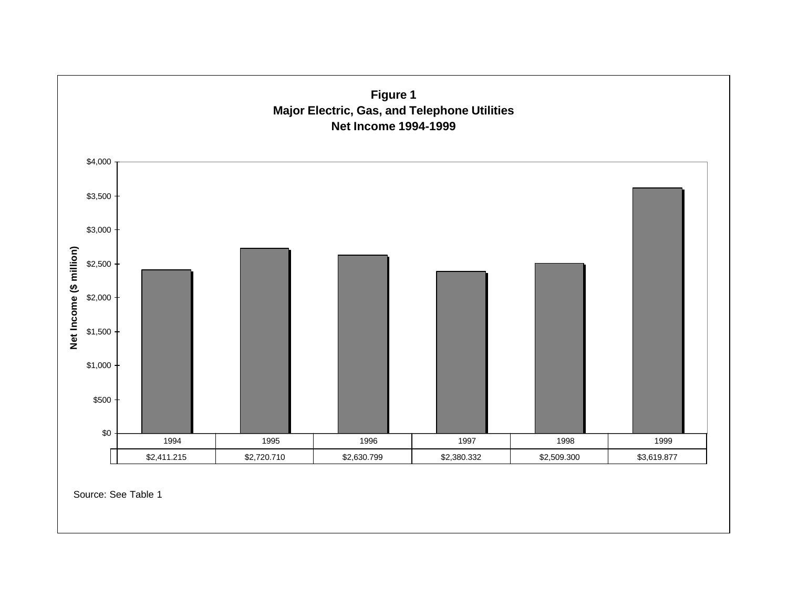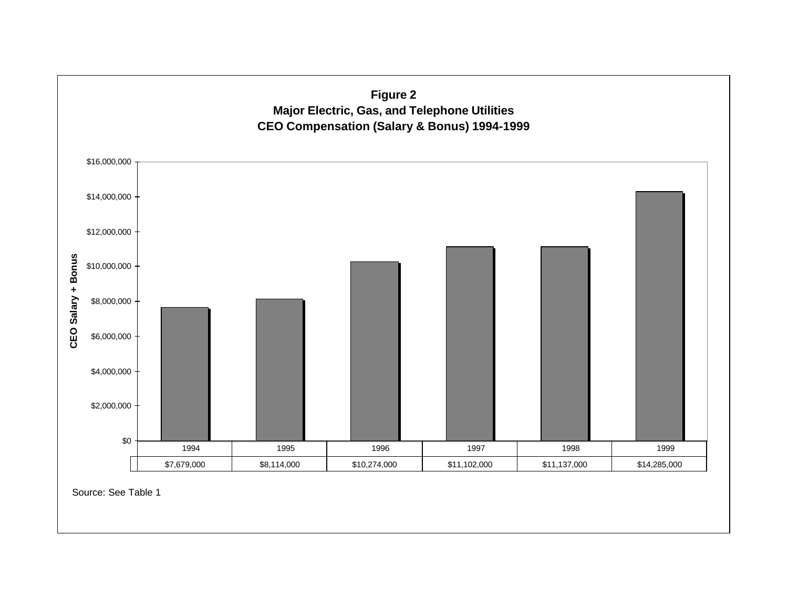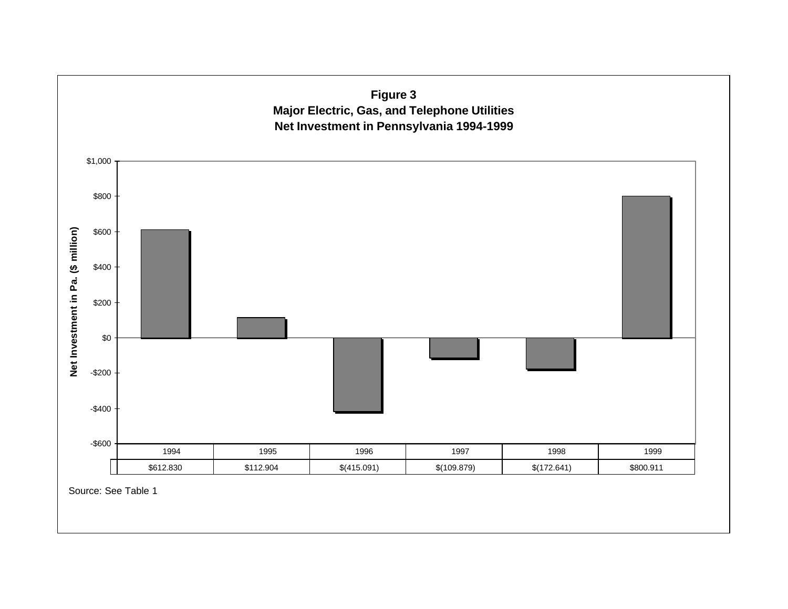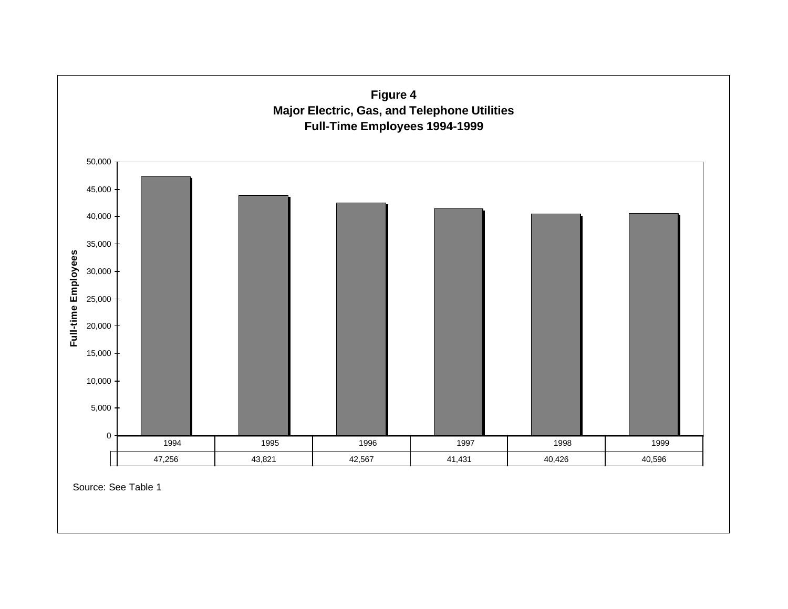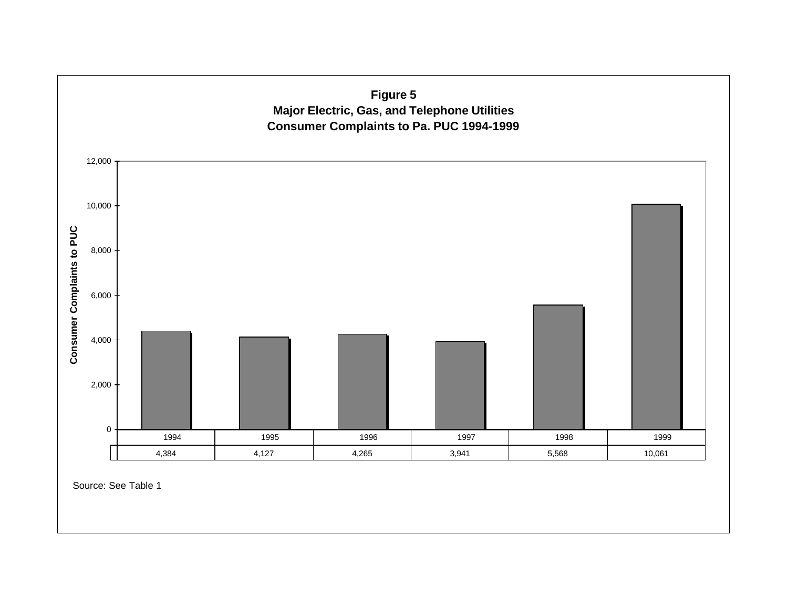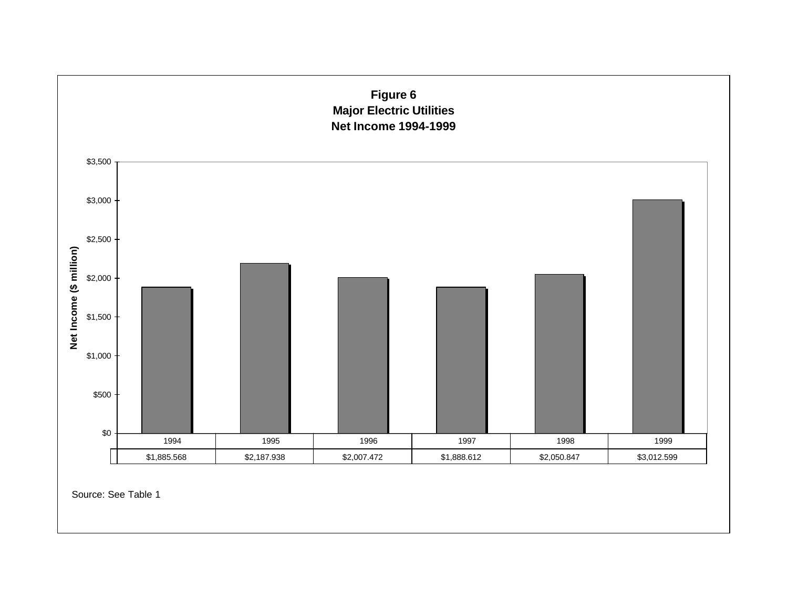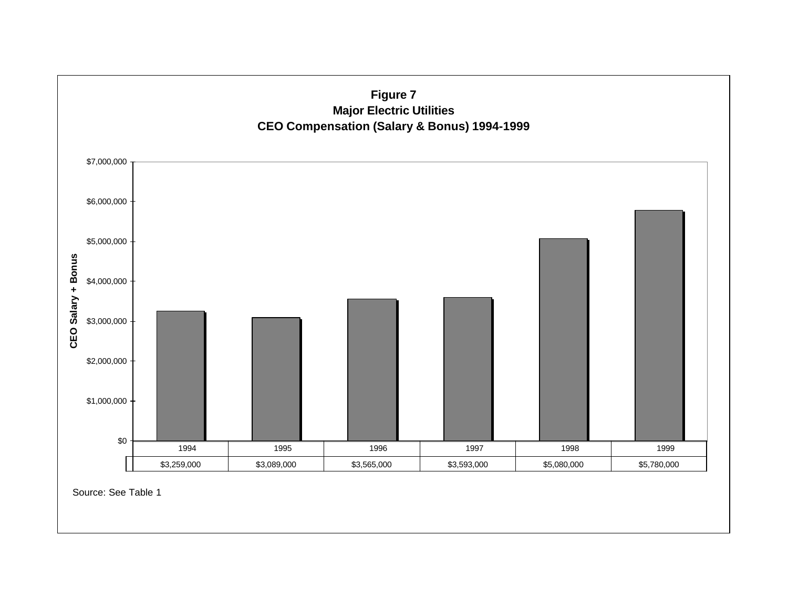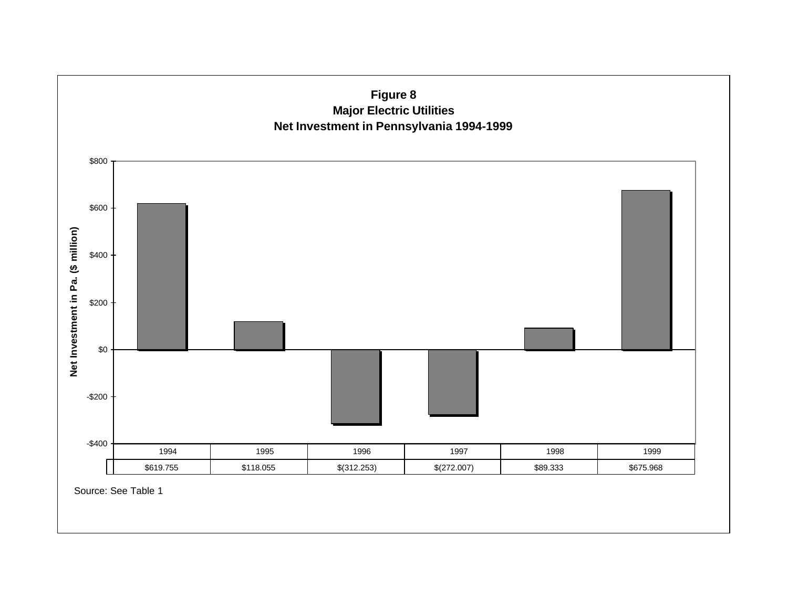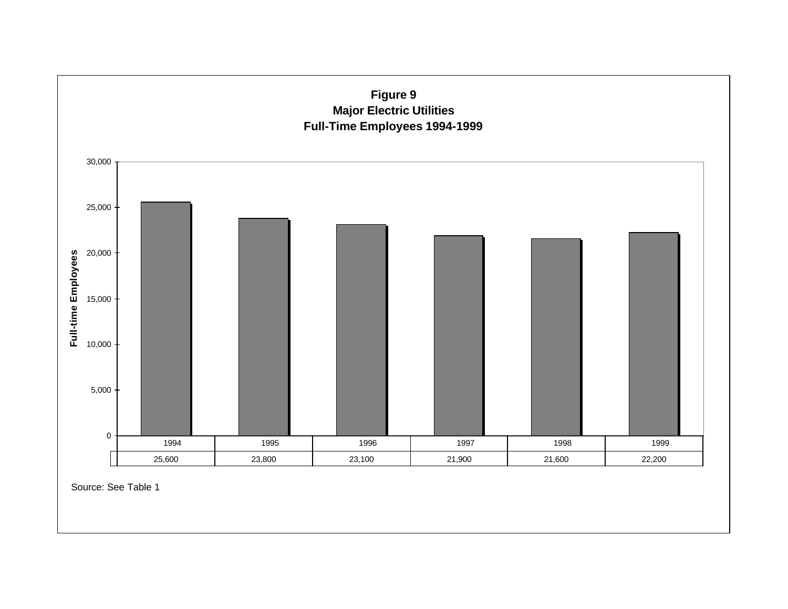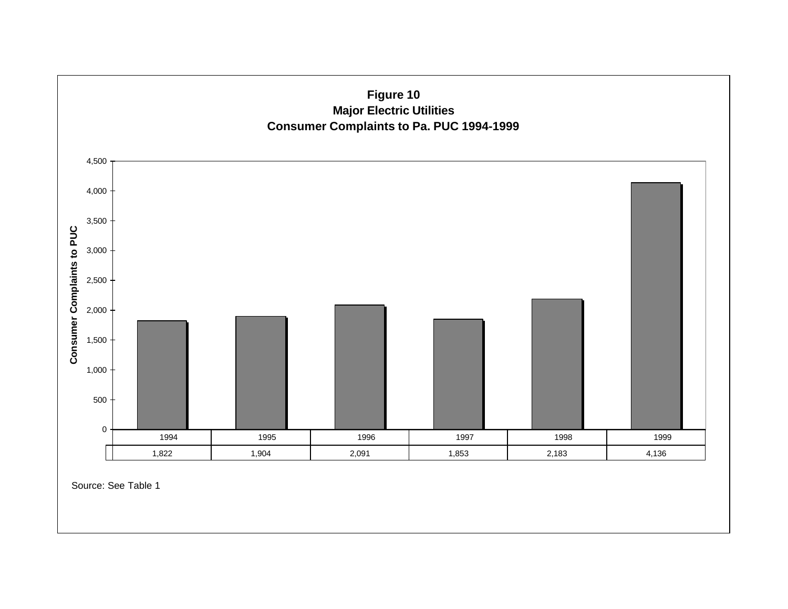

Source: See Table 1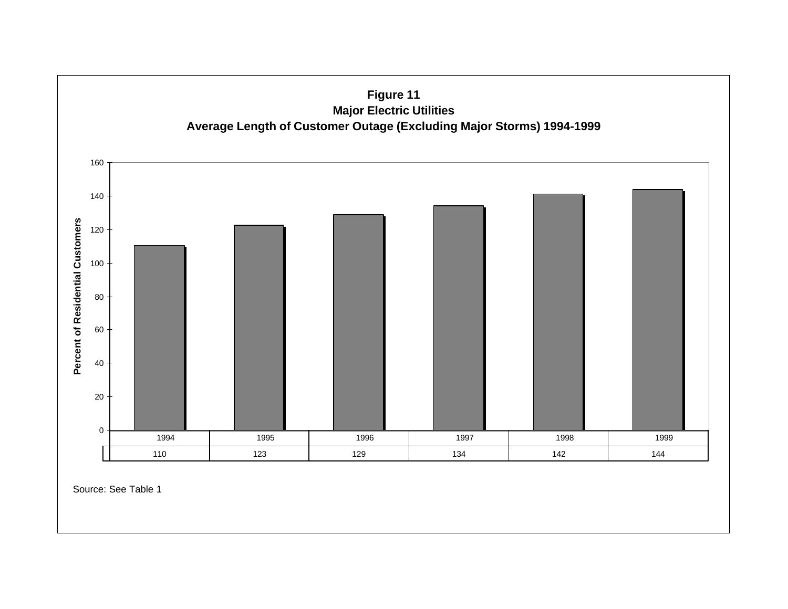

Source: See Table 1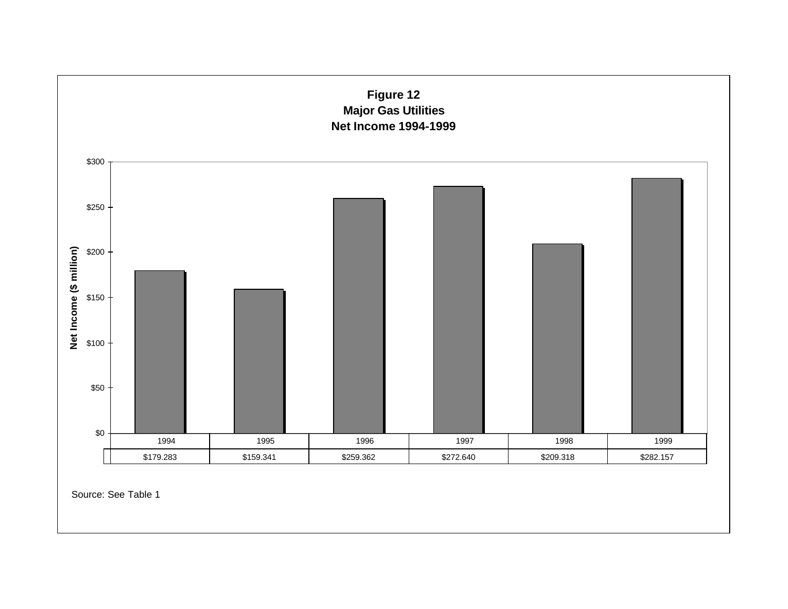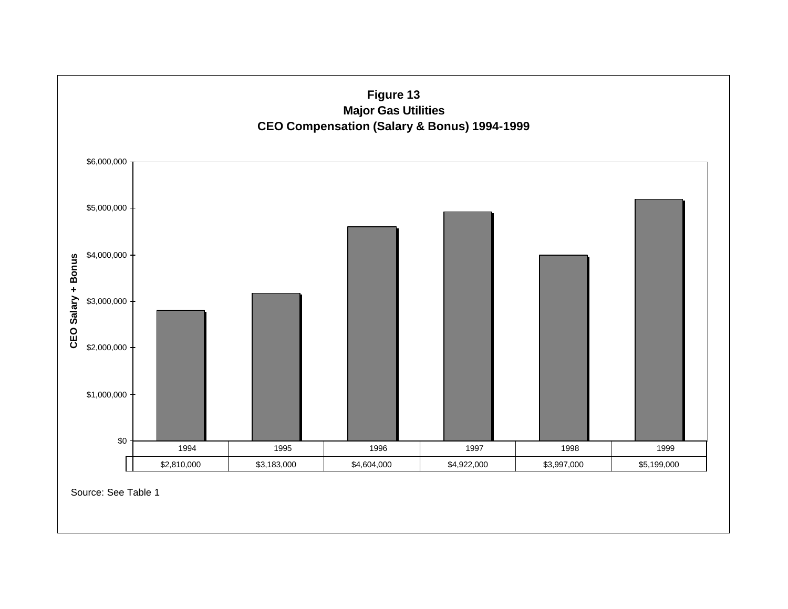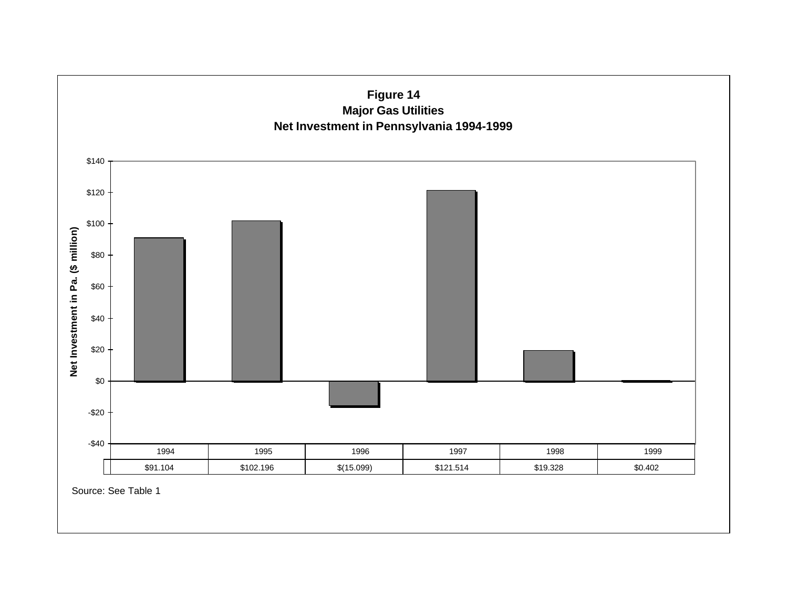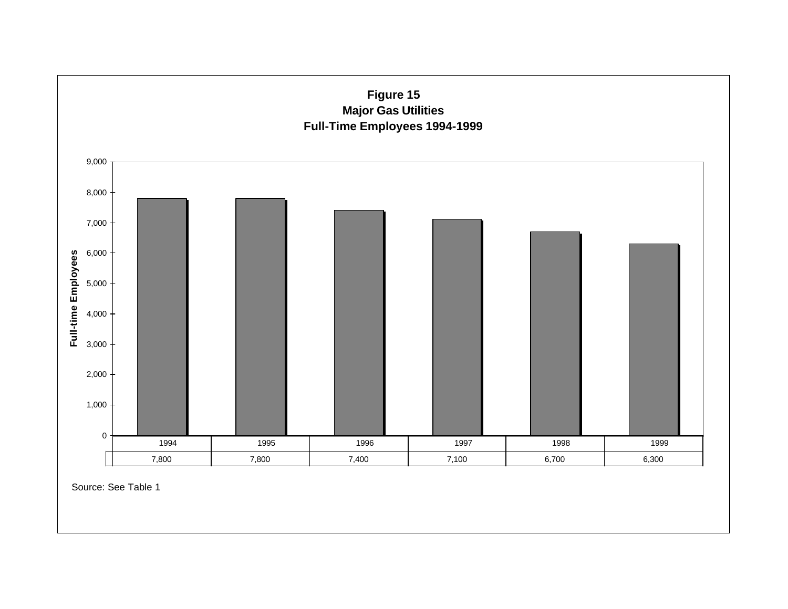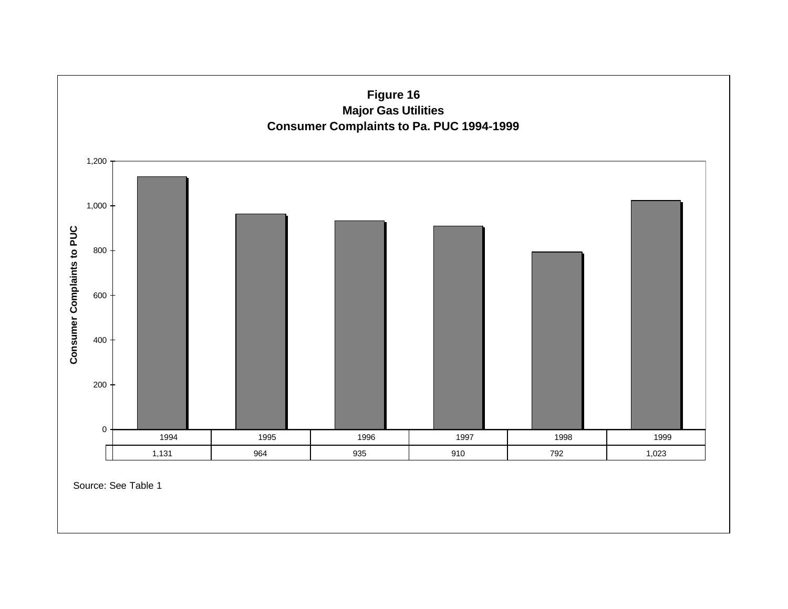

Source: See Table 1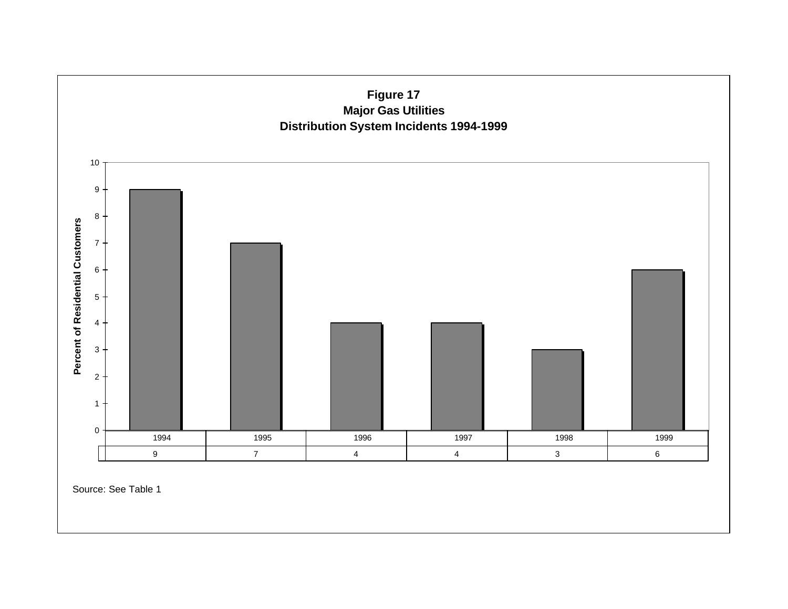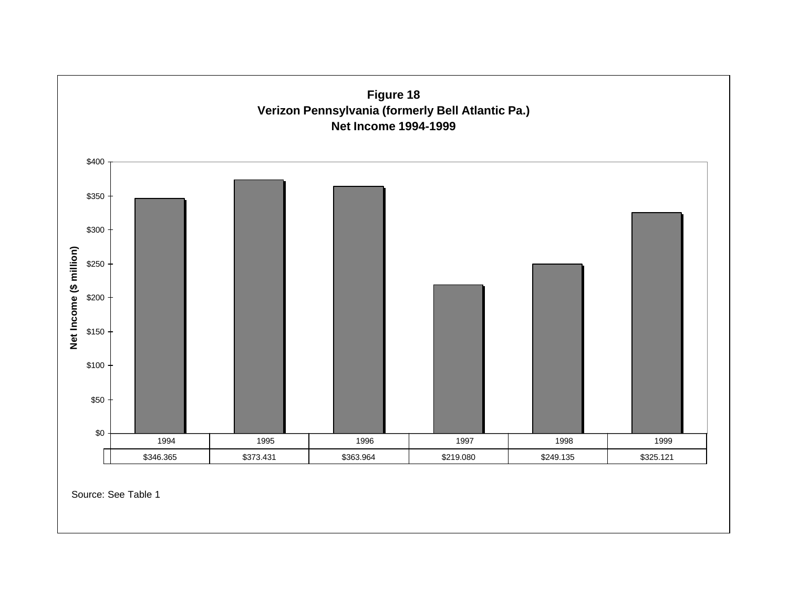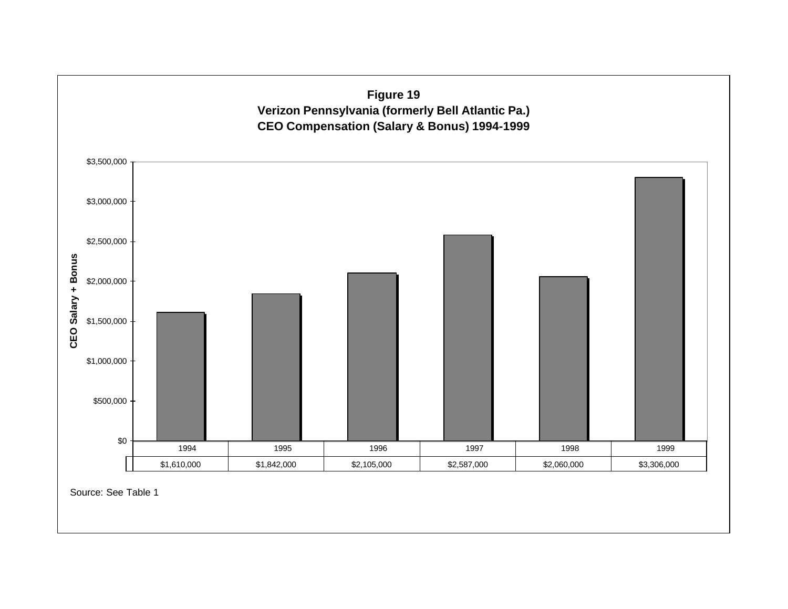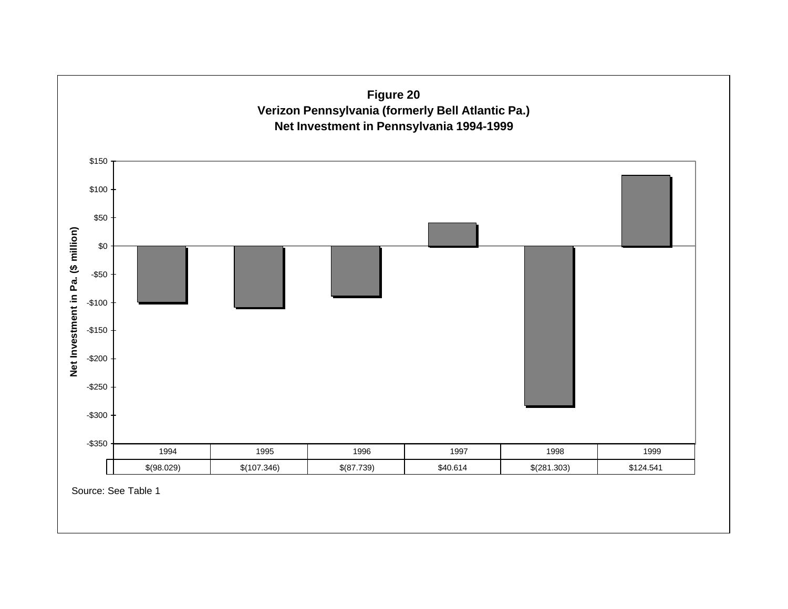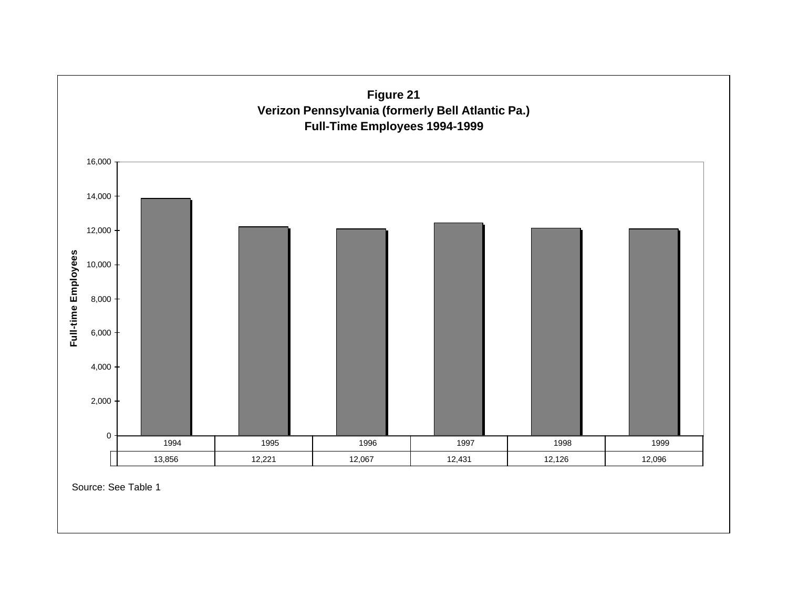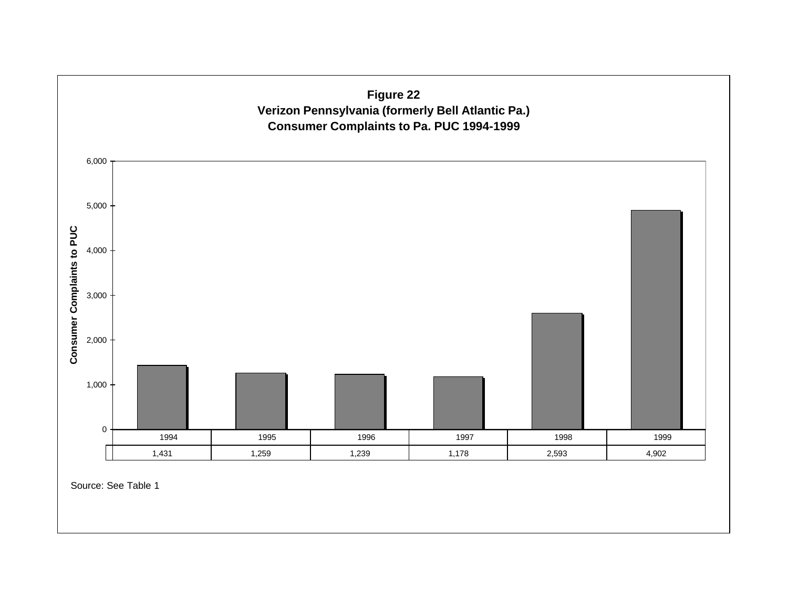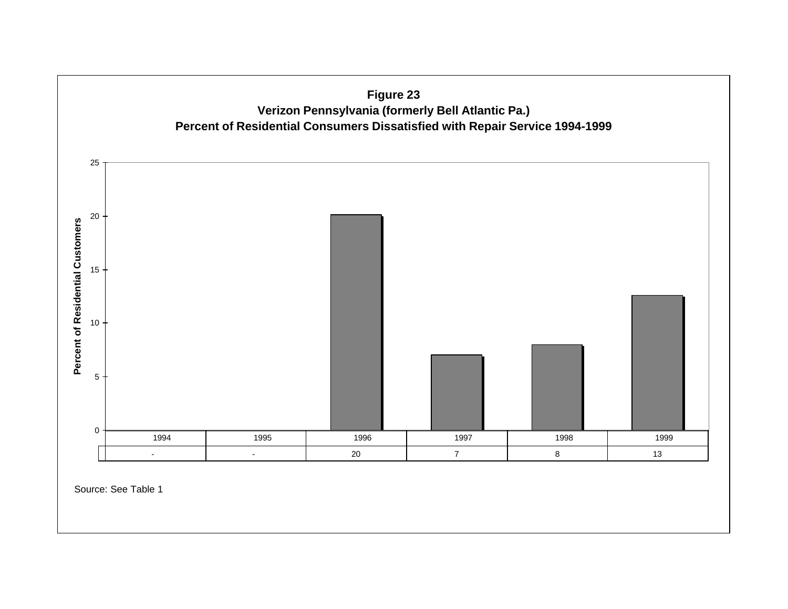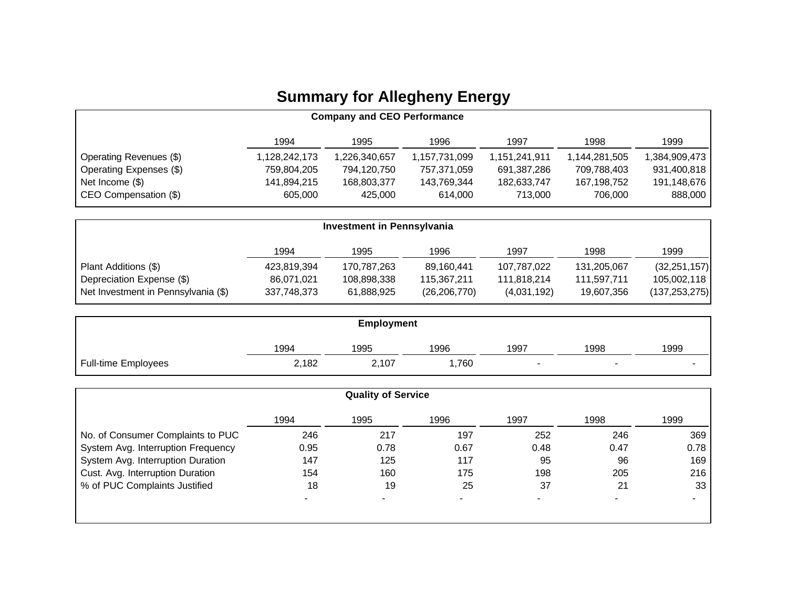## **Summary for Allegheny Energy**

| <b>Company and CEO Performance</b> |               |               |               |               |               |               |
|------------------------------------|---------------|---------------|---------------|---------------|---------------|---------------|
|                                    | 1994          | 1995          | 1996          | 1997          | 1998          | 1999          |
| Operating Revenues (\$)            | 1,128,242,173 | 857,840,657,ا | 1,157,731,099 | 1,151,241,911 | 1,144,281,505 | 1,384,909,473 |
| Operating Expenses (\$)            | 759.804.205   | 794,120,750   | 757,371,059   | 691,387,286   | 709,788,403   | 931,400,818   |
| Net Income (\$)                    | 141,894,215   | 168,803,377   | 143,769,344   | 182,633,747   | 167,198,752   | 191,148,676   |
| CEO Compensation (\$)              | 605,000       | 425,000       | 614.000       | 713.000       | 706.000       | 888,000       |

| Investment in Pennsylvania          |             |             |                |             |             |                 |
|-------------------------------------|-------------|-------------|----------------|-------------|-------------|-----------------|
|                                     | 1994        | 1995        | 1996           | 1997        | 1998        | 1999            |
| Plant Additions (\$)                | 423,819,394 | 170,787,263 | 89.160.441     | 107,787,022 | 131,205,067 | (32, 251, 157)  |
| Depreciation Expense (\$)           | 86,071,021  | 108,898,338 | 115,367,211    | 111,818,214 | 111,597,711 | 105,002,118     |
| Net Investment in Pennsylvania (\$) | 337,748,373 | 61,888,925  | (26, 206, 770) | (4,031,192) | 19,607,356  | (137, 253, 275) |

| <b>Employment</b>          |       |       |      |                          |      |      |  |
|----------------------------|-------|-------|------|--------------------------|------|------|--|
|                            | 1994  | 1995  | 1996 | 1997                     | 1998 | 1999 |  |
| <b>Full-time Employees</b> | 2,182 | 2,107 | ,760 | $\overline{\phantom{a}}$ |      | -    |  |

|                                    |      | <b>Quality of Service</b> |      |                |      |      |
|------------------------------------|------|---------------------------|------|----------------|------|------|
|                                    | 1994 | 1995                      | 1996 | 1997           | 1998 | 1999 |
| No. of Consumer Complaints to PUC  | 246  | 217                       | 197  | 252            | 246  | 369  |
| System Avg. Interruption Frequency | 0.95 | 0.78                      | 0.67 | 0.48           | 0.47 | 0.78 |
| System Avg. Interruption Duration  | 147  | 125                       | 117  | 95             | 96   | 169  |
| Cust. Avg. Interruption Duration   | 154  | 160                       | 175  | 198            | 205  | 216  |
| % of PUC Complaints Justified      | 18   | 19                        | 25   | 37             | 21   | 33   |
|                                    |      |                           |      | $\blacksquare$ |      |      |
|                                    |      |                           |      |                |      |      |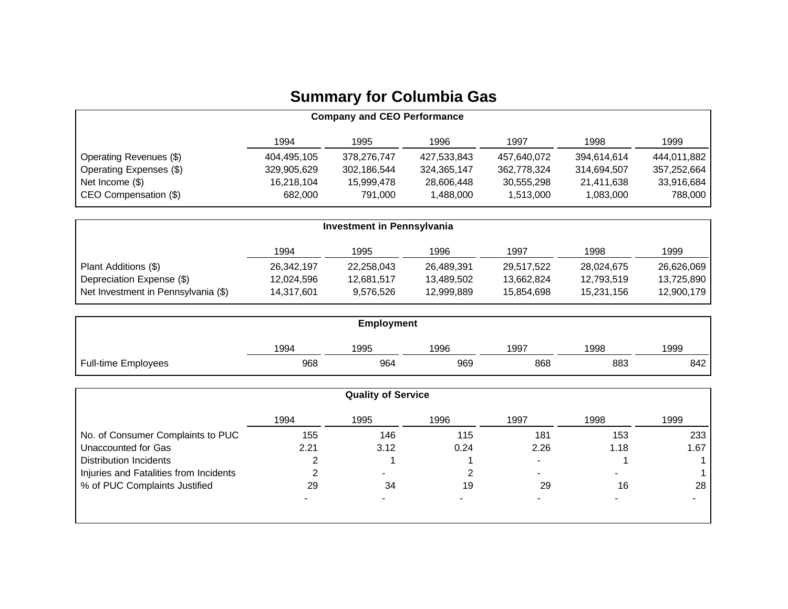## **Summary for Columbia Gas**

| <b>Company and CEO Performance</b> |             |             |             |             |             |             |
|------------------------------------|-------------|-------------|-------------|-------------|-------------|-------------|
|                                    | 1994        | 1995        | 1996        | 1997        | 1998        | 1999        |
| Operating Revenues (\$)            | 404,495,105 | 378,276,747 | 427,533,843 | 457,640,072 | 394,614,614 | 444,011,882 |
| Operating Expenses (\$)            | 329,905,629 | 302,186,544 | 324,365,147 | 362,778,324 | 314,694,507 | 357,252,664 |
| Net Income (\$)                    | 16.218.104  | 15.999.478  | 28,606,448  | 30,555,298  | 21.411.638  | 33,916,684  |
| CEO Compensation (\$)              | 682,000     | 791,000     | 1,488,000   | 1,513,000   | 1,083,000   | 788,000     |

| <b>Investment in Pennsylvania</b>   |            |            |            |            |            |            |
|-------------------------------------|------------|------------|------------|------------|------------|------------|
|                                     | 1994       | 1995       | 1996       | 1997       | 1998       | 1999       |
| Plant Additions (\$)                | 26,342,197 | 22,258,043 | 26,489,391 | 29.517.522 | 28,024,675 | 26,626,069 |
| Depreciation Expense (\$)           | 12,024,596 | 12,681,517 | 13,489,502 | 13.662.824 | 12,793,519 | 13,725,890 |
| Net Investment in Pennsylvania (\$) | 14,317,601 | 9.576.526  | 12,999,889 | 15.854.698 | 15,231,156 | 12,900,179 |

| <b>Employment</b>          |      |      |      |      |      |      |
|----------------------------|------|------|------|------|------|------|
|                            | 1994 | 1995 | 1996 | 1997 | 1998 | 1999 |
| <b>Full-time Employees</b> | 968  | 964  | 969  | 868  | 883  | 842  |

|                                        |      | <b>Quality of Service</b> |      |                          |      |                 |
|----------------------------------------|------|---------------------------|------|--------------------------|------|-----------------|
|                                        | 1994 | 1995                      | 1996 | 1997                     | 1998 | 1999            |
| No. of Consumer Complaints to PUC      | 155  | 146                       | 115  | 181                      | 153  | 233             |
| Unaccounted for Gas                    | 2.21 | 3.12                      | 0.24 | 2.26                     | 1.18 | 1.67            |
| <b>Distribution Incidents</b>          |      |                           |      | $\overline{\phantom{0}}$ |      |                 |
| Injuries and Fatalities from Incidents | ົ    | -                         |      | $\overline{\phantom{a}}$ |      |                 |
| % of PUC Complaints Justified          | 29   | 34                        | 19   | 29                       | 16   | 28 <sub>1</sub> |
|                                        |      |                           |      |                          |      |                 |
|                                        |      |                           |      |                          |      |                 |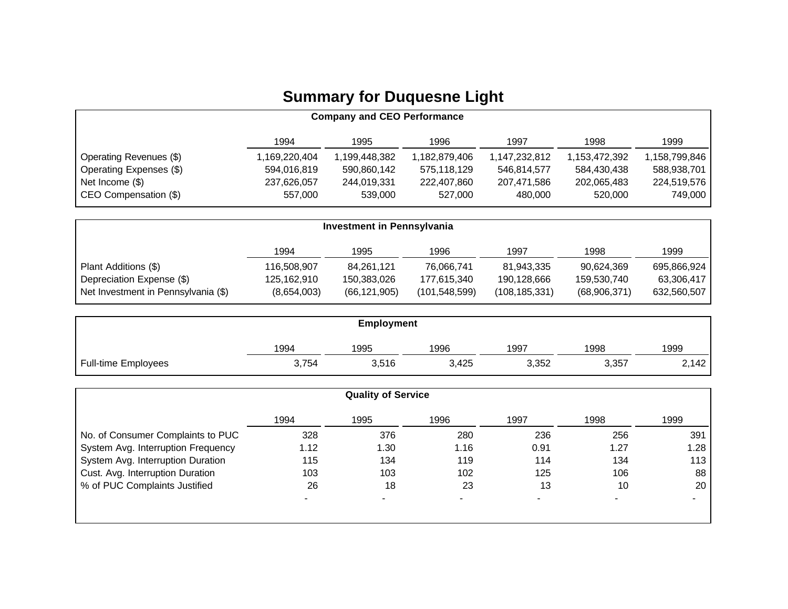## **Summary for Duquesne Light**

| <b>Company and CEO Performance</b> |               |               |               |               |               |               |
|------------------------------------|---------------|---------------|---------------|---------------|---------------|---------------|
|                                    | 1994          | 1995          | 1996          | 1997          | 1998          | 1999          |
| Operating Revenues (\$)            | 1,169,220,404 | 1,199,448,382 | 1,182,879,406 | 1,147,232,812 | 1,153,472,392 | 1,158,799,846 |
| Operating Expenses (\$)            | 594,016,819   | 590,860,142   | 575,118,129   | 546,814,577   | 584,430,438   | 588,938,701   |
| Net Income (\$)                    | 237,626,057   | 244,019,331   | 222,407,860   | 207,471,586   | 202,065,483   | 224,519,576   |
| CEO Compensation (\$)              | 557,000       | 539.000       | 527,000       | 480,000       | 520,000       | 749,000       |

| <b>Investment in Pennsylvania</b>   |             |                |               |                 |              |             |
|-------------------------------------|-------------|----------------|---------------|-----------------|--------------|-------------|
|                                     | 1994        | 1995           | 1996          | 1997            | 1998         | 1999        |
| Plant Additions (\$)                | 116,508,907 | 84,261,121     | 76,066,741    | 81,943,335      | 90,624,369   | 695,866,924 |
| Depreciation Expense (\$)           | 125,162,910 | 150,383,026    | 177.615.340   | 190.128.666     | 159,530,740  | 63,306,417  |
| Net Investment in Pennsylvania (\$) | (8,654,003) | (66, 121, 905) | (101,548,599) | (108, 185, 331) | (68,906,371) | 632,560,507 |

| <b>Employment</b>          |       |       |       |       |       |       |
|----------------------------|-------|-------|-------|-------|-------|-------|
|                            | 1994  | 1995  | 1996  | 1997  | 1998  | 1999  |
| <b>Full-time Employees</b> | 3,754 | 3,516 | 3,425 | 3,352 | 3,357 | 2,142 |

|                                    | <b>Quality of Service</b> |      |      |                |      |      |
|------------------------------------|---------------------------|------|------|----------------|------|------|
|                                    | 1994                      | 1995 | 1996 | 1997           | 1998 | 1999 |
| No. of Consumer Complaints to PUC  | 328                       | 376  | 280  | 236            | 256  | 391  |
| System Avg. Interruption Frequency | 1.12                      | 1.30 | 1.16 | 0.91           | 1.27 | 1.28 |
| System Avg. Interruption Duration  | 115                       | 134  | 119  | 114            | 134  | 113  |
| Cust. Avg. Interruption Duration   | 103                       | 103  | 102  | 125            | 106  | 88   |
| % of PUC Complaints Justified      | 26                        | 18   | 23   | 13             | 10   | 20   |
|                                    |                           |      | -    | $\blacksquare$ |      |      |
|                                    |                           |      |      |                |      |      |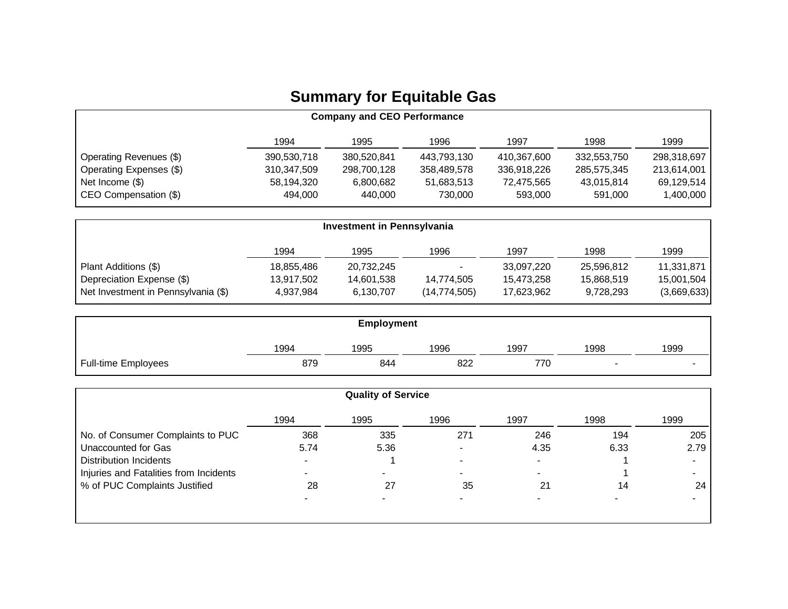## **Summary for Equitable Gas**

| <b>Company and CEO Performance</b> |             |             |             |             |             |             |  |
|------------------------------------|-------------|-------------|-------------|-------------|-------------|-------------|--|
|                                    | 1994        | 1995        | 1996        | 1997        | 1998        | 1999        |  |
| Operating Revenues (\$)            | 390,530,718 | 380,520,841 | 443,793,130 | 410,367,600 | 332,553,750 | 298,318,697 |  |
| Operating Expenses (\$)            | 310,347,509 | 298,700,128 | 358,489,578 | 336,918,226 | 285,575,345 | 213,614,001 |  |
| Net Income (\$)                    | 58,194,320  | 6.800.682   | 51,683,513  | 72.475.565  | 43,015,814  | 69,129,514  |  |
| CEO Compensation (\$)              | 494.000     | 440.000     | 730,000     | 593.000     | 591.000     | 1,400,000   |  |

| <b>Investment in Pennsylvania</b>   |            |            |                |            |            |             |  |
|-------------------------------------|------------|------------|----------------|------------|------------|-------------|--|
|                                     | 1994       | 1995       | 1996           | 1997       | 1998       | 1999        |  |
| Plant Additions (\$)                | 18,855,486 | 20,732,245 | ۰.             | 33,097,220 | 25,596,812 | 11,331,871  |  |
| Depreciation Expense (\$)           | 13,917,502 | 14,601,538 | 14,774,505     | 15,473,258 | 15,868,519 | 15,001,504  |  |
| Net Investment in Pennsylvania (\$) | 4,937,984  | 6,130,707  | (14, 774, 505) | 17,623,962 | 9,728,293  | (3,669,633) |  |

| Employment                 |      |      |      |      |      |      |  |
|----------------------------|------|------|------|------|------|------|--|
|                            | 1994 | 1995 | 1996 | 1997 | 1998 | 1999 |  |
| <b>Full-time Employees</b> | 879  | 844  | 822  | 770  | -    | -    |  |

|                                        |      | <b>Quality of Service</b> |                          |                          |      |      |
|----------------------------------------|------|---------------------------|--------------------------|--------------------------|------|------|
|                                        | 1994 | 1995                      | 1996                     | 1997                     | 1998 | 1999 |
| No. of Consumer Complaints to PUC      | 368  | 335                       | 271                      | 246                      | 194  | 205  |
| Unaccounted for Gas                    | 5.74 | 5.36                      | -                        | 4.35                     | 6.33 | 2.79 |
| <b>Distribution Incidents</b>          |      |                           | $\overline{\phantom{0}}$ | $\overline{\phantom{0}}$ |      |      |
| Injuries and Fatalities from Incidents |      |                           | -                        | $\overline{\phantom{0}}$ |      |      |
| % of PUC Complaints Justified          | 28   | 27                        | 35                       | 21                       | 14   | 24   |
|                                        |      |                           |                          |                          |      |      |
|                                        |      |                           |                          |                          |      |      |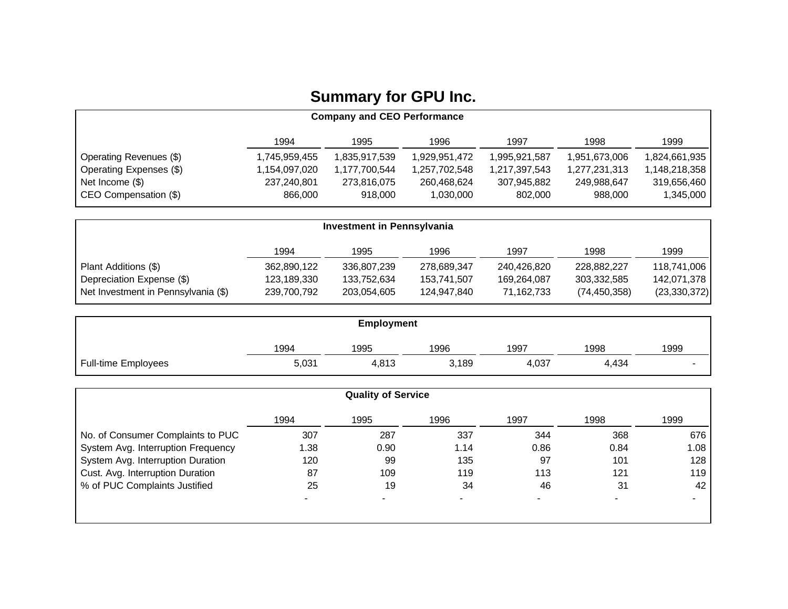## **Summary for GPU Inc.**

| <b>Company and CEO Performance</b> |                |               |               |               |               |               |  |
|------------------------------------|----------------|---------------|---------------|---------------|---------------|---------------|--|
|                                    | 1994           | 1995          | 1996          | 1997          | 1998          | 1999          |  |
| Operating Revenues (\$)            | 359,455, ا     | 1,835,917,539 | 1,929,951,472 | 1,995,921,587 | 1,951,673,006 | 1,824,661,935 |  |
| Operating Expenses (\$)            | .154,097,020 ا | 1,177,700,544 | 1,257,702,548 | 1,217,397,543 | 277,231,313,  | 1,148,218,358 |  |
| Net Income (\$)                    | 237.240.801    | 273,816,075   | 260,468,624   | 307,945,882   | 249.988.647   | 319,656,460   |  |
| CEO Compensation (\$)              | 866,000        | 918.000       | 1,030,000     | 802,000       | 988.000       | 1,345,000     |  |

| <b>Investment in Pennsylvania</b>   |             |             |             |             |                |                |  |
|-------------------------------------|-------------|-------------|-------------|-------------|----------------|----------------|--|
|                                     | 1994        | 1995        | 1996        | 1997        | 1998           | 1999           |  |
| Plant Additions (\$)                | 362,890,122 | 336,807,239 | 278,689,347 | 240,426,820 | 228,882,227    | 118,741,006    |  |
| Depreciation Expense (\$)           | 123,189,330 | 133,752,634 | 153.741.507 | 169.264.087 | 303,332,585    | 142,071,378    |  |
| Net Investment in Pennsylvania (\$) | 239,700,792 | 203,054,605 | 124.947.840 | 71,162,733  | (74, 450, 358) | (23, 330, 372) |  |

| <b>Employment</b>          |       |       |       |       |       |                          |  |
|----------------------------|-------|-------|-------|-------|-------|--------------------------|--|
|                            | 1994  | 1995  | 1996  | 1997  | 1998  | 1999                     |  |
| <b>Full-time Employees</b> | 5,031 | 4,813 | 3,189 | 4,037 | 4,434 | $\overline{\phantom{a}}$ |  |

|                                    | <b>Quality of Service</b> |      |      |      |      |      |
|------------------------------------|---------------------------|------|------|------|------|------|
|                                    | 1994                      | 1995 | 1996 | 1997 | 1998 | 1999 |
| No. of Consumer Complaints to PUC  | 307                       | 287  | 337  | 344  | 368  | 676  |
| System Avg. Interruption Frequency | 1.38                      | 0.90 | 1.14 | 0.86 | 0.84 | 1.08 |
| System Avg. Interruption Duration  | 120                       | 99   | 135  | 97   | 101  | 128  |
| Cust. Avg. Interruption Duration   | 87                        | 109  | 119  | 113  | 121  | 119  |
| % of PUC Complaints Justified      | 25                        | 19   | 34   | 46   | 31   | 42   |
|                                    |                           |      |      | $\,$ |      |      |
|                                    |                           |      |      |      |      |      |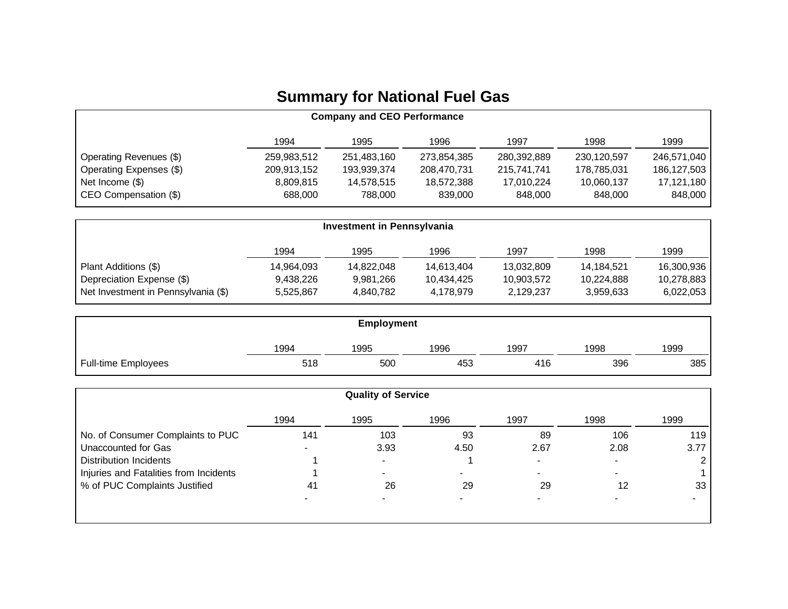## **Summary for National Fuel Gas**

| <b>Company and CEO Performance</b> |             |             |             |             |             |             |  |
|------------------------------------|-------------|-------------|-------------|-------------|-------------|-------------|--|
|                                    | 1994        | 1995        | 1996        | 1997        | 1998        | 1999        |  |
| Operating Revenues (\$)            | 259,983,512 | 251,483,160 | 273,854,385 | 280,392,889 | 230,120,597 | 246,571,040 |  |
| Operating Expenses (\$)            | 209,913,152 | 193,939,374 | 208,470,731 | 215,741,741 | 178,785,031 | 186,127,503 |  |
| Net Income (\$)                    | 8,809,815   | 14,578,515  | 18,572,388  | 17,010,224  | 10,060,137  | 17,121,180  |  |
| CEO Compensation (\$)              | 688,000     | 788,000     | 839,000     | 848,000     | 848,000     | 848,000     |  |

| Investment in Pennsylvania          |            |            |            |            |            |            |  |
|-------------------------------------|------------|------------|------------|------------|------------|------------|--|
|                                     | 1994       | 1995       | 1996       | 1997       | 1998       | 1999       |  |
| Plant Additions (\$)                | 14.964.093 | 14.822.048 | 14,613,404 | 13,032,809 | 14,184,521 | 16,300,936 |  |
| Depreciation Expense (\$)           | 9,438,226  | 9.981.266  | 10,434,425 | 10,903,572 | 10,224,888 | 10,278,883 |  |
| Net Investment in Pennsylvania (\$) | 5.525.867  | 4.840.782  | 4,178,979  | 2.129.237  | 3,959,633  | 6,022,053  |  |

| <b>Employment</b>          |      |      |      |      |      |      |  |
|----------------------------|------|------|------|------|------|------|--|
|                            | 1994 | 1995 | 1996 | 1997 | 1998 | 1999 |  |
| <b>Full-time Employees</b> | 518  | 500  | 453  | 416  | 396  | 385  |  |

|                                        |      | <b>Quality of Service</b> |      |                |      |      |
|----------------------------------------|------|---------------------------|------|----------------|------|------|
|                                        | 1994 | 1995                      | 1996 | 1997           | 1998 | 1999 |
| No. of Consumer Complaints to PUC      | 141  | 103                       | 93   | 89             | 106  | 119  |
| Unaccounted for Gas                    |      | 3.93                      | 4.50 | 2.67           | 2.08 | 3.77 |
| Distribution Incidents                 |      | $\sim$                    |      | $\blacksquare$ |      |      |
| Injuries and Fatalities from Incidents |      | -                         | -    | -              |      |      |
| % of PUC Complaints Justified          | 41   | 26                        | 29   | 29             | 12   | 33   |
|                                        |      |                           |      |                |      |      |
|                                        |      |                           |      |                |      |      |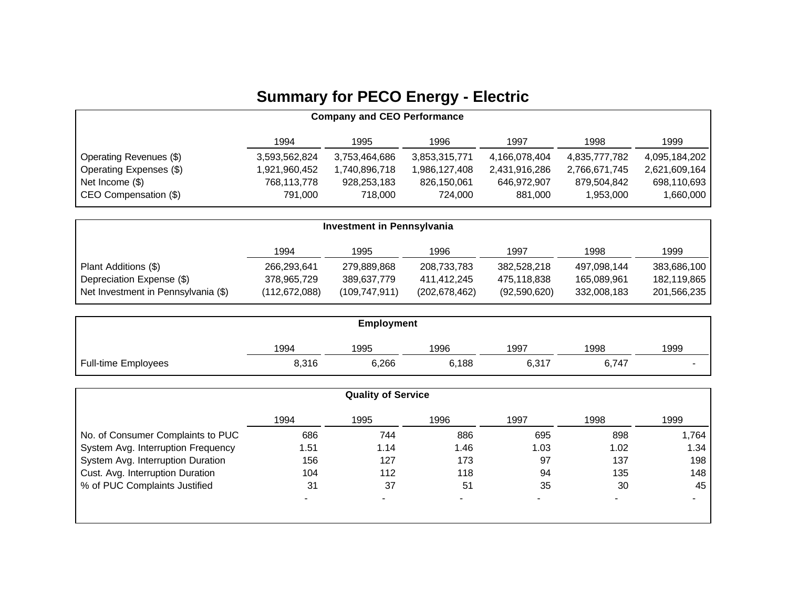## **Summary for PECO Energy - Electric**

| <b>Company and CEO Performance</b> |               |               |               |               |               |               |  |
|------------------------------------|---------------|---------------|---------------|---------------|---------------|---------------|--|
|                                    | 1994          | 1995          | 1996          | 1997          | 1998          | 1999          |  |
| Operating Revenues (\$)            | 3,593,562,824 | 3,753,464,686 | 3,853,315,771 | 4,166,078,404 | 4,835,777,782 | 4,095,184,202 |  |
| Operating Expenses (\$)            | ,921,960,452  | 1,740,896,718 | 986,127,408,  | 2,431,916,286 | 2,766,671,745 | 2,621,609,164 |  |
| Net Income (\$)                    | 768,113,778   | 928,253,183   | 826,150,061   | 646,972,907   | 879,504,842   | 698,110,693   |  |
| CEO Compensation (\$)              | 791,000       | 718,000       | 724.000       | 881,000       | 1,953,000     | 1,660,000     |  |

| Investment in Pennsylvania          |                 |                 |                 |              |             |             |  |
|-------------------------------------|-----------------|-----------------|-----------------|--------------|-------------|-------------|--|
|                                     | 1994            | 1995            | 1996            | 1997         | 1998        | 1999        |  |
| Plant Additions (\$)                | 266,293,641     | 279,889,868     | 208,733,783     | 382,528,218  | 497,098,144 | 383,686,100 |  |
| Depreciation Expense (\$)           | 378,965,729     | 389,637,779     | 411.412.245     | 475.118.838  | 165,089,961 | 182,119,865 |  |
| Net Investment in Pennsylvania (\$) | (112, 672, 088) | (109, 747, 911) | (202, 678, 462) | (92,590,620) | 332,008,183 | 201,566,235 |  |

| <b>Employment</b>          |       |       |       |       |       |                          |
|----------------------------|-------|-------|-------|-------|-------|--------------------------|
|                            | 1994  | 1995  | 1996  | 1997  | 1998  | 1999                     |
| <b>Full-time Employees</b> | 8,316 | 6,266 | 6,188 | 6,317 | 6,747 | $\overline{\phantom{0}}$ |

|                                    |      | <b>Quality of Service</b> |      |      |      |       |
|------------------------------------|------|---------------------------|------|------|------|-------|
|                                    | 1994 | 1995                      | 1996 | 1997 | 1998 | 1999  |
| No. of Consumer Complaints to PUC  | 686  | 744                       | 886  | 695  | 898  | 1,764 |
| System Avg. Interruption Frequency | 51.، | 1.14                      | 1.46 | 1.03 | 1.02 | 1.34  |
| System Avg. Interruption Duration  | 156  | 127                       | 173  | 97   | 137  | 198   |
| Cust. Avg. Interruption Duration   | 104  | 112                       | 118  | 94   | 135  | 148   |
| % of PUC Complaints Justified      | 31   | 37                        | 51   | 35   | 30   | 45    |
|                                    |      |                           |      | $\,$ |      |       |
|                                    |      |                           |      |      |      |       |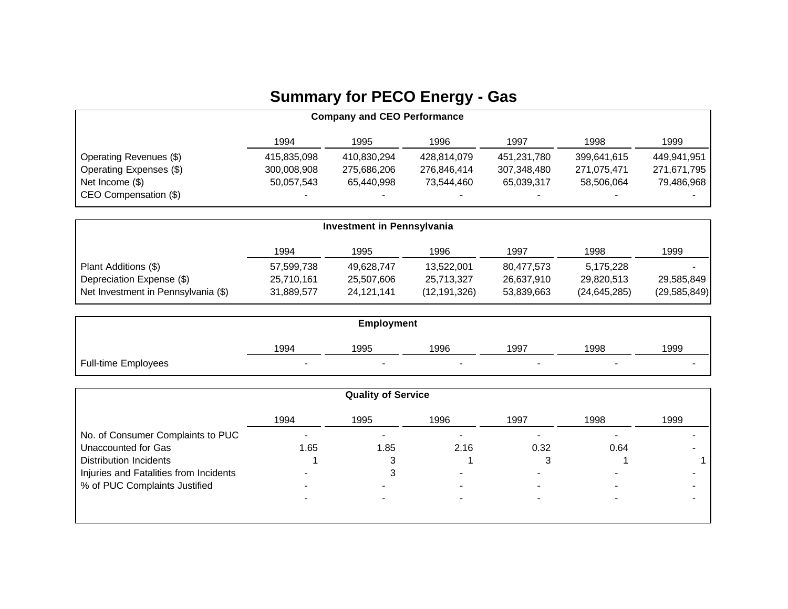## **Summary for PECO Energy - Gas**

| <b>Company and CEO Performance</b> |             |             |             |             |             |             |  |
|------------------------------------|-------------|-------------|-------------|-------------|-------------|-------------|--|
|                                    | 1994        | 1995        | 1996        | 1997        | 1998        | 1999        |  |
| Operating Revenues (\$)            | 415,835,098 | 410,830,294 | 428,814,079 | 451,231,780 | 399,641,615 | 449,941,951 |  |
| Operating Expenses (\$)            | 300,008,908 | 275,686,206 | 276,846,414 | 307,348,480 | 271,075,471 | 271,671,795 |  |
| Net Income (\$)                    | 50,057,543  | 65,440,998  | 73,544,460  | 65,039,317  | 58,506,064  | 79,486,968  |  |
| CEO Compensation (\$)              |             |             | -           | -           | -           |             |  |

| Investment in Pennsylvania          |            |            |                |            |                |                |  |
|-------------------------------------|------------|------------|----------------|------------|----------------|----------------|--|
|                                     | 1994       | 1995       | 1996           | 1997       | 1998           | 1999           |  |
| Plant Additions (\$)                | 57,599,738 | 49,628,747 | 13,522,001     | 80,477,573 | 5,175,228      |                |  |
| Depreciation Expense (\$)           | 25,710,161 | 25,507,606 | 25,713,327     | 26,637,910 | 29,820,513     | 29,585,849     |  |
| Net Investment in Pennsylvania (\$) | 31,889,577 | 24,121,141 | (12, 191, 326) | 53,839,663 | (24, 645, 285) | (29, 585, 849) |  |

| <b>Employment</b>          |                          |      |                          |                          |                          |      |  |
|----------------------------|--------------------------|------|--------------------------|--------------------------|--------------------------|------|--|
|                            | 1994                     | 1995 | 1996                     | 1997                     | 1998                     | 1999 |  |
| <b>Full-time Employees</b> | $\overline{\phantom{a}}$ |      | $\overline{\phantom{a}}$ | $\overline{\phantom{a}}$ | $\overline{\phantom{a}}$ | -    |  |

|                                        |      | <b>Quality of Service</b> |      |                          |      |      |
|----------------------------------------|------|---------------------------|------|--------------------------|------|------|
|                                        | 1994 | 1995                      | 1996 | 1997                     | 1998 | 1999 |
| No. of Consumer Complaints to PUC      |      |                           |      | -                        |      |      |
| <b>Unaccounted for Gas</b>             | 1.65 | 1.85                      | 2.16 | 0.32                     | 0.64 |      |
| <b>Distribution Incidents</b>          |      |                           |      |                          |      |      |
| Injuries and Fatalities from Incidents |      |                           |      | $\overline{\phantom{0}}$ |      |      |
| % of PUC Complaints Justified          |      |                           |      |                          |      |      |
|                                        |      |                           |      |                          |      |      |
|                                        |      |                           |      |                          |      |      |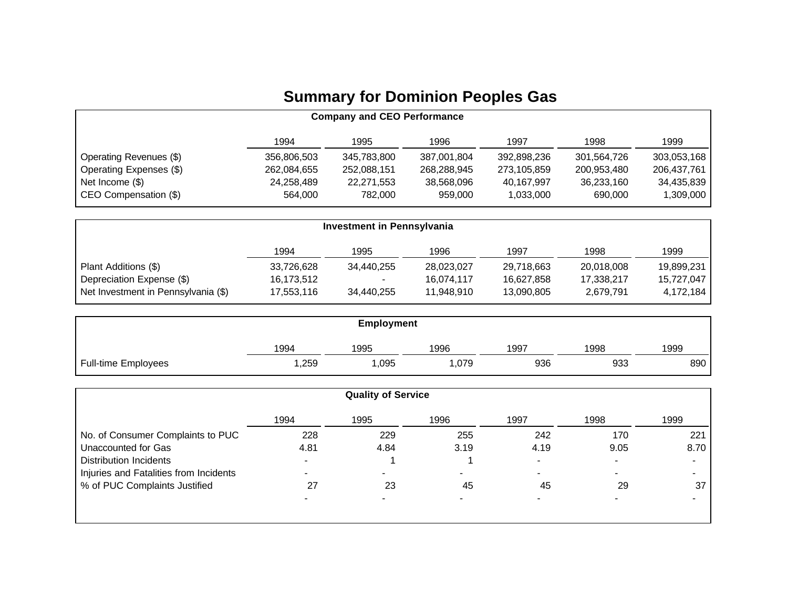## **Summary for Dominion Peoples Gas**

| <b>Company and CEO Performance</b> |             |             |             |             |             |             |  |
|------------------------------------|-------------|-------------|-------------|-------------|-------------|-------------|--|
|                                    | 1994        | 1995        | 1996        | 1997        | 1998        | 1999        |  |
| Operating Revenues (\$)            | 356,806,503 | 345,783,800 | 387,001,804 | 392,898,236 | 301,564,726 | 303,053,168 |  |
| Operating Expenses (\$)            | 262,084,655 | 252,088,151 | 268,288,945 | 273,105,859 | 200,953,480 | 206,437,761 |  |
| Net Income (\$)                    | 24,258,489  | 22,271,553  | 38,568,096  | 40,167,997  | 36,233,160  | 34,435,839  |  |
| CEO Compensation (\$)              | 564,000     | 782,000     | 959,000     | 1,033,000   | 690,000     | 1,309,000   |  |

| <b>Investment in Pennsylvania</b>   |            |            |            |            |            |            |
|-------------------------------------|------------|------------|------------|------------|------------|------------|
|                                     | 1994       | 1995       | 1996       | 1997       | 1998       | 1999       |
| Plant Additions (\$)                | 33,726,628 | 34.440.255 | 28,023,027 | 29.718.663 | 20,018,008 | 19,899,231 |
| Depreciation Expense (\$)           | 16,173,512 | $\sim$     | 16.074.117 | 16.627.858 | 17,338,217 | 15,727,047 |
| Net Investment in Pennsylvania (\$) | 17,553,116 | 34,440,255 | 11,948,910 | 13,090,805 | 2,679,791  | 4,172,184  |

| <b>Employment</b>          |      |      |      |      |      |      |
|----------------------------|------|------|------|------|------|------|
|                            | 1994 | 1995 | 1996 | 1997 | 1998 | 1999 |
| <b>Full-time Employees</b> | ,259 | ,095 | ,079 | 936  | 933  | 890  |

|                                        | <b>Quality of Service</b> |      |      |                          |      |      |
|----------------------------------------|---------------------------|------|------|--------------------------|------|------|
|                                        | 1994                      | 1995 | 1996 | 1997                     | 1998 | 1999 |
| No. of Consumer Complaints to PUC      | 228                       | 229  | 255  | 242                      | 170  | 221  |
| Unaccounted for Gas                    | 4.81                      | 4.84 | 3.19 | 4.19                     | 9.05 | 8.70 |
| <b>Distribution Incidents</b>          |                           |      |      | $\overline{\phantom{0}}$ |      |      |
| Injuries and Fatalities from Incidents |                           |      | ۰.   |                          |      |      |
| % of PUC Complaints Justified          | 27                        | 23   | 45   | 45                       | 29   | 37   |
|                                        |                           |      |      |                          |      |      |
|                                        |                           |      |      |                          |      |      |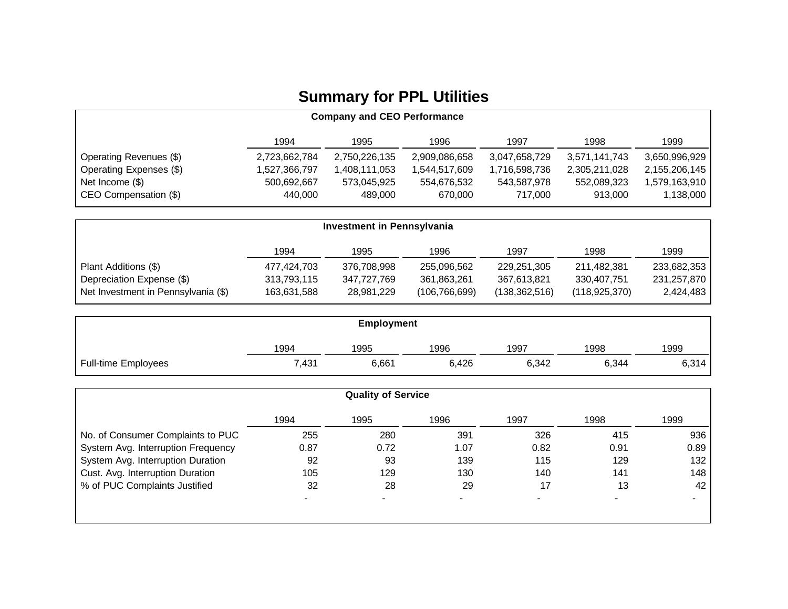## **Summary for PPL Utilities**

| <b>Company and CEO Performance</b> |               |               |               |               |               |               |
|------------------------------------|---------------|---------------|---------------|---------------|---------------|---------------|
|                                    | 1994          | 1995          | 1996          | 1997          | 1998          | 1999          |
| Operating Revenues (\$)            | 2,723,662,784 | 2,750,226,135 | 2,909,086,658 | 3,047,658,729 | 3,571,141,743 | 3,650,996,929 |
| Operating Expenses (\$)            | 527,366,797,  | 1,408,111,053 | 1,544,517,609 | 1,716,598,736 | 2,305,211,028 | 2,155,206,145 |
| Net Income $(\$)$                  | 500,692,667   | 573,045,925   | 554,676,532   | 543,587,978   | 552,089,323   | 1,579,163,910 |
| CEO Compensation (\$)              | 440.000       | 489.000       | 670.000       | 717.000       | 913.000       | 1,138,000     |

| <b>Investment in Pennsylvania</b>   |             |             |                 |                 |                 |             |
|-------------------------------------|-------------|-------------|-----------------|-----------------|-----------------|-------------|
|                                     | 1994        | 1995        | 1996            | 1997            | 1998            | 1999        |
| Plant Additions (\$)                | 477,424,703 | 376,708,998 | 255,096,562     | 229,251,305     | 211,482,381     | 233,682,353 |
| Depreciation Expense (\$)           | 313,793,115 | 347.727.769 | 361.863.261     | 367,613,821     | 330.407.751     | 231,257,870 |
| Net Investment in Pennsylvania (\$) | 163,631,588 | 28,981,229  | (106, 766, 699) | (138, 362, 516) | (118, 925, 370) | 2,424,483   |

|                            | <b>Employment</b> |       |       |       |       |       |  |
|----------------------------|-------------------|-------|-------|-------|-------|-------|--|
|                            | 1994              | 1995  | 1996  | 1997  | 1998  | 1999  |  |
| <b>Full-time Employees</b> | 7,431             | 6,661 | 6,426 | 6,342 | 6,344 | 6,314 |  |

|                                    |      | <b>Quality of Service</b> |      |                |      |      |
|------------------------------------|------|---------------------------|------|----------------|------|------|
|                                    | 1994 | 1995                      | 1996 | 1997           | 1998 | 1999 |
| No. of Consumer Complaints to PUC  | 255  | 280                       | 391  | 326            | 415  | 936  |
| System Avg. Interruption Frequency | 0.87 | 0.72                      | 1.07 | 0.82           | 0.91 | 0.89 |
| System Avg. Interruption Duration  | 92   | 93                        | 139  | 115            | 129  | 132  |
| Cust. Avg. Interruption Duration   | 105  | 129                       | 130  | 140            | 141  | 148  |
| % of PUC Complaints Justified      | 32   | 28                        | 29   | 17             | 13   | 42   |
|                                    |      |                           |      | $\blacksquare$ |      |      |
|                                    |      |                           |      |                |      |      |